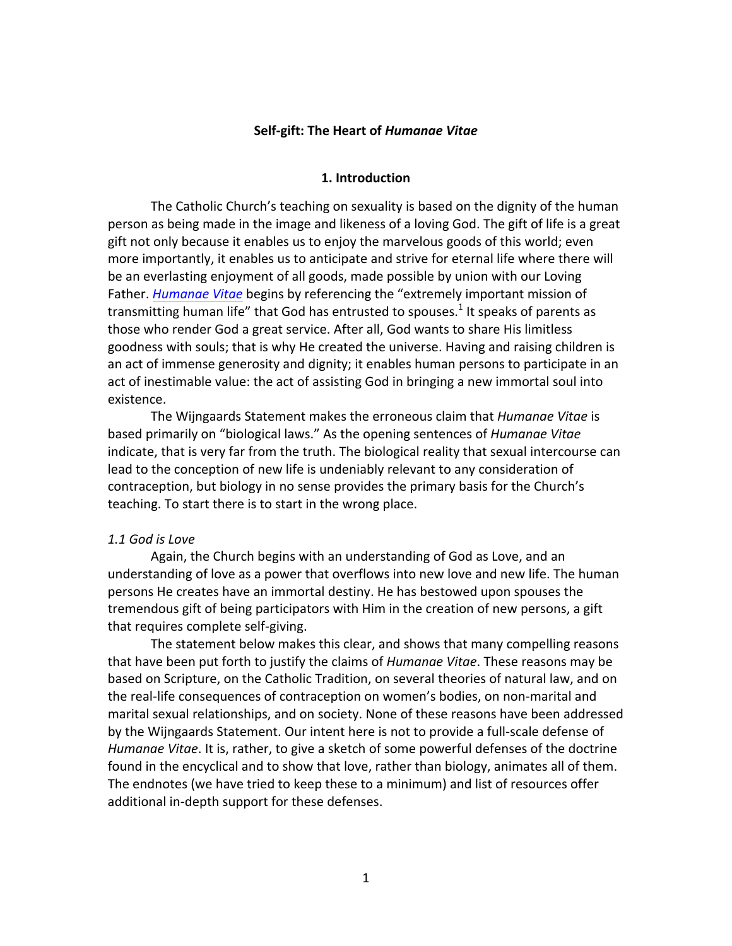# **Self-gift: The Heart of** *Humanae Vitae*

#### **1. Introduction**

 The Catholic Church's teaching on sexuality is based on the dignity of the human person as being made in the image and likeness of a loving God. The gift of life is a great gift not only because it enables us to enjoy the marvelous goods of this world; even more importantly, it enables us to anticipate and strive for eternal life where there will be an everlasting enjoyment of all goods, made possible by union with our Loving Father. *Humanae Vitae* begins by referencing the "extremely important mission of transmitting human life" that God has entrusted to spouses.<sup>1</sup> It speaks of parents as those who render God a great service. After all, God wants to share His limitless goodness with souls; that is why He created the universe. Having and raising children is an act of immense generosity and dignity; it enables human persons to participate in an act of inestimable value: the act of assisting God in bringing a new immortal soul into existence.

The Wijngaards Statement makes the erroneous claim that *Humanae Vitae* is based primarily on "biological laws." As the opening sentences of *Humanae Vitae* indicate, that is very far from the truth. The biological reality that sexual intercourse can lead to the conception of new life is undeniably relevant to any consideration of contraception, but biology in no sense provides the primary basis for the Church's teaching. To start there is to start in the wrong place.

# *1.1 God is Love*

 Again, the Church begins with an understanding of God as Love, and an understanding of love as a power that overflows into new love and new life. The human persons He creates have an immortal destiny. He has bestowed upon spouses the tremendous gift of being participators with Him in the creation of new persons, a gift that requires complete self-giving.

The statement below makes this clear, and shows that many compelling reasons that have been put forth to justify the claims of *Humanae Vitae*. These reasons may be based on Scripture, on the Catholic Tradition, on several theories of natural law, and on the real-life consequences of contraception on women's bodies, on non-marital and marital sexual relationships, and on society. None of these reasons have been addressed by the Wijngaards Statement. Our intent here is not to provide a full-scale defense of Humanae Vitae. It is, rather, to give a sketch of some powerful defenses of the doctrine found in the encyclical and to show that love, rather than biology, animates all of them. The endnotes (we have tried to keep these to a minimum) and list of resources offer additional in-depth support for these defenses.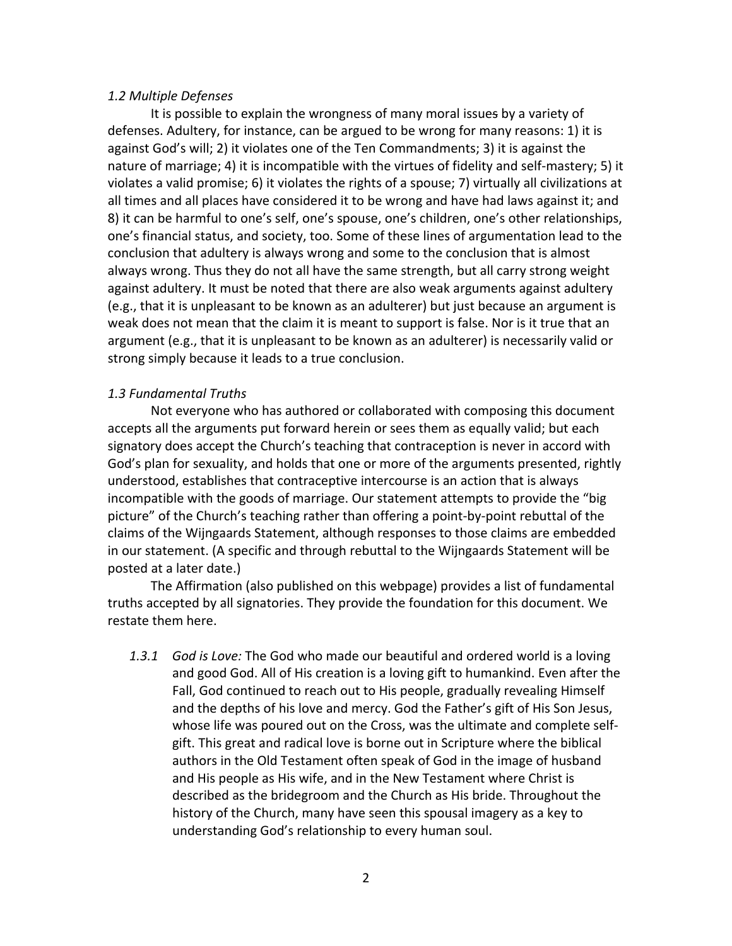# *1.2 Multiple Defenses*

It is possible to explain the wrongness of many moral issues by a variety of defenses. Adultery, for instance, can be argued to be wrong for many reasons: 1) it is against God's will; 2) it violates one of the Ten Commandments; 3) it is against the nature of marriage; 4) it is incompatible with the virtues of fidelity and self-mastery; 5) it violates a valid promise; 6) it violates the rights of a spouse; 7) virtually all civilizations at all times and all places have considered it to be wrong and have had laws against it; and 8) it can be harmful to one's self, one's spouse, one's children, one's other relationships, one's financial status, and society, too. Some of these lines of argumentation lead to the conclusion that adultery is always wrong and some to the conclusion that is almost always wrong. Thus they do not all have the same strength, but all carry strong weight against adultery. It must be noted that there are also weak arguments against adultery (e.g., that it is unpleasant to be known as an adulterer) but just because an argument is weak does not mean that the claim it is meant to support is false. Nor is it true that an argument (e.g., that it is unpleasant to be known as an adulterer) is necessarily valid or strong simply because it leads to a true conclusion.

# *1.3 Fundamental Truths*

Not everyone who has authored or collaborated with composing this document accepts all the arguments put forward herein or sees them as equally valid; but each signatory does accept the Church's teaching that contraception is never in accord with God's plan for sexuality, and holds that one or more of the arguments presented, rightly understood, establishes that contraceptive intercourse is an action that is always incompatible with the goods of marriage. Our statement attempts to provide the "big picture" of the Church's teaching rather than offering a point-by-point rebuttal of the claims of the Wijngaards Statement, although responses to those claims are embedded in our statement. (A specific and through rebuttal to the Wijngaards Statement will be posted at a later date.)

The Affirmation (also published on this webpage) provides a list of fundamental truths accepted by all signatories. They provide the foundation for this document. We restate them here.

1.3.1 *God is Love:* The God who made our beautiful and ordered world is a loving and good God. All of His creation is a loving gift to humankind. Even after the Fall, God continued to reach out to His people, gradually revealing Himself and the depths of his love and mercy. God the Father's gift of His Son Jesus, whose life was poured out on the Cross, was the ultimate and complete selfgift. This great and radical love is borne out in Scripture where the biblical authors in the Old Testament often speak of God in the image of husband and His people as His wife, and in the New Testament where Christ is described as the bridegroom and the Church as His bride. Throughout the history of the Church, many have seen this spousal imagery as a key to understanding God's relationship to every human soul.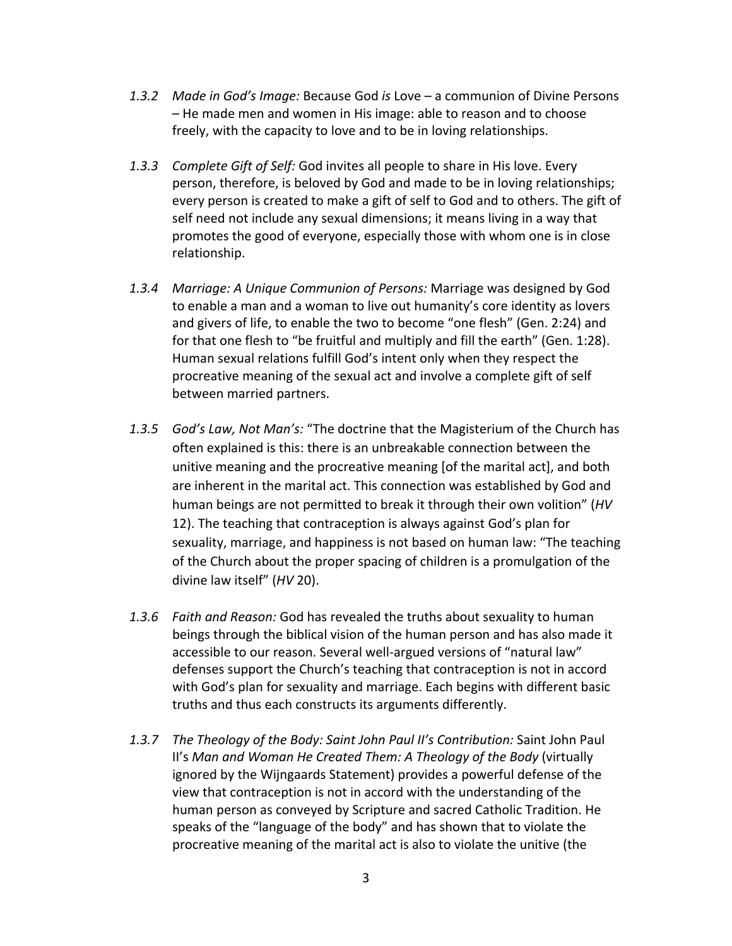- 1.3.2 Made in God's Image: Because God *is* Love a communion of Divine Persons – He made men and women in His image: able to reason and to choose freely, with the capacity to love and to be in loving relationships.
- 1.3.3 Complete Gift of Self: God invites all people to share in His love. Every person, therefore, is beloved by God and made to be in loving relationships; every person is created to make a gift of self to God and to others. The gift of self need not include any sexual dimensions; it means living in a way that promotes the good of everyone, especially those with whom one is in close relationship.
- 1.3.4 Marriage: A Unique Communion of Persons: Marriage was designed by God to enable a man and a woman to live out humanity's core identity as lovers and givers of life, to enable the two to become "one flesh" (Gen. 2:24) and for that one flesh to "be fruitful and multiply and fill the earth" (Gen. 1:28). Human sexual relations fulfill God's intent only when they respect the procreative meaning of the sexual act and involve a complete gift of self between married partners.
- 1.3.5 God's Law, Not Man's: "The doctrine that the Magisterium of the Church has often explained is this: there is an unbreakable connection between the unitive meaning and the procreative meaning [of the marital act], and both are inherent in the marital act. This connection was established by God and human beings are not permitted to break it through their own volition" (*HV* 12). The teaching that contraception is always against God's plan for sexuality, marriage, and happiness is not based on human law: "The teaching of the Church about the proper spacing of children is a promulgation of the divine law itself" (*HV* 20).
- 1.3.6 Faith and Reason: God has revealed the truths about sexuality to human beings through the biblical vision of the human person and has also made it accessible to our reason. Several well-argued versions of "natural law" defenses support the Church's teaching that contraception is not in accord with God's plan for sexuality and marriage. Each begins with different basic truths and thus each constructs its arguments differently.
- 1.3.7 The Theology of the Body: Saint John Paul II's Contribution: Saint John Paul *II's Man and Woman He Created Them: A Theology of the Body (virtually*  ignored by the Wijngaards Statement) provides a powerful defense of the view that contraception is not in accord with the understanding of the human person as conveyed by Scripture and sacred Catholic Tradition. He speaks of the "language of the body" and has shown that to violate the procreative meaning of the marital act is also to violate the unitive (the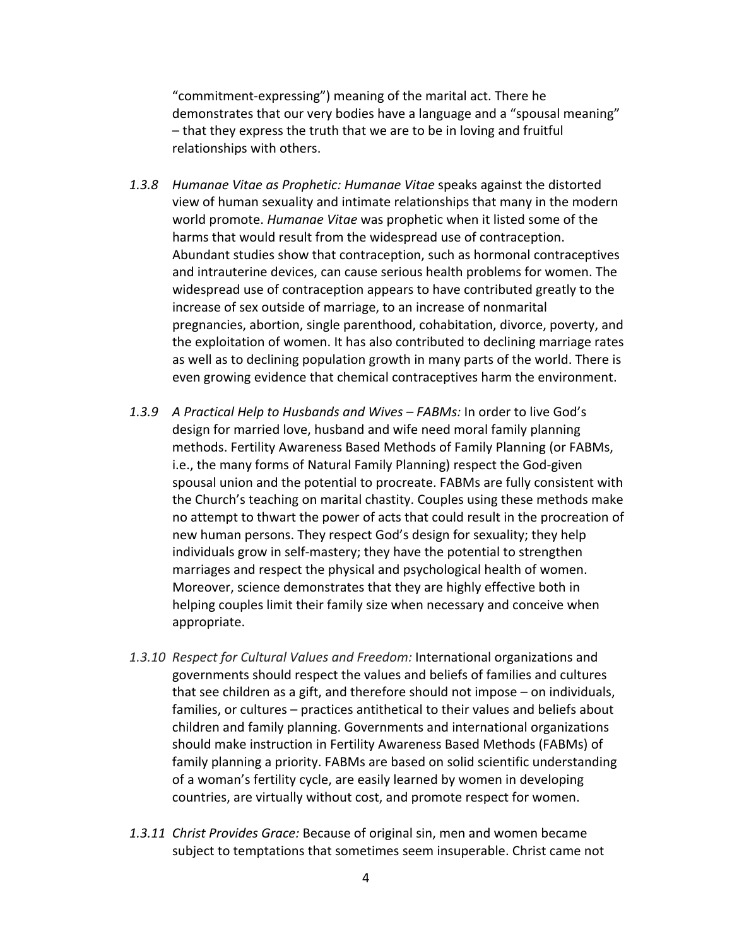"commitment-expressing") meaning of the marital act. There he demonstrates that our very bodies have a language and a "spousal meaning" – that they express the truth that we are to be in loving and fruitful relationships with others.

- 1.3.8 Humanae Vitae as Prophetic: Humanae Vitae speaks against the distorted view of human sexuality and intimate relationships that many in the modern world promote. *Humanae Vitae* was prophetic when it listed some of the harms that would result from the widespread use of contraception. Abundant studies show that contraception, such as hormonal contraceptives and intrauterine devices, can cause serious health problems for women. The widespread use of contraception appears to have contributed greatly to the increase of sex outside of marriage, to an increase of nonmarital pregnancies, abortion, single parenthood, cohabitation, divorce, poverty, and the exploitation of women. It has also contributed to declining marriage rates as well as to declining population growth in many parts of the world. There is even growing evidence that chemical contraceptives harm the environment.
- 1.3.9 A Practical Help to Husbands and Wives FABMs: In order to live God's design for married love, husband and wife need moral family planning methods. Fertility Awareness Based Methods of Family Planning (or FABMs, i.e., the many forms of Natural Family Planning) respect the God-given spousal union and the potential to procreate. FABMs are fully consistent with the Church's teaching on marital chastity. Couples using these methods make no attempt to thwart the power of acts that could result in the procreation of new human persons. They respect God's design for sexuality; they help individuals grow in self-mastery; they have the potential to strengthen marriages and respect the physical and psychological health of women. Moreover, science demonstrates that they are highly effective both in helping couples limit their family size when necessary and conceive when appropriate.
- 1.3.10 Respect for Cultural Values and Freedom: International organizations and governments should respect the values and beliefs of families and cultures that see children as a gift, and therefore should not impose – on individuals, families, or cultures – practices antithetical to their values and beliefs about children and family planning. Governments and international organizations should make instruction in Fertility Awareness Based Methods (FABMs) of family planning a priority. FABMs are based on solid scientific understanding of a woman's fertility cycle, are easily learned by women in developing countries, are virtually without cost, and promote respect for women.
- 1.3.11 *Christ Provides Grace:* Because of original sin, men and women became subject to temptations that sometimes seem insuperable. Christ came not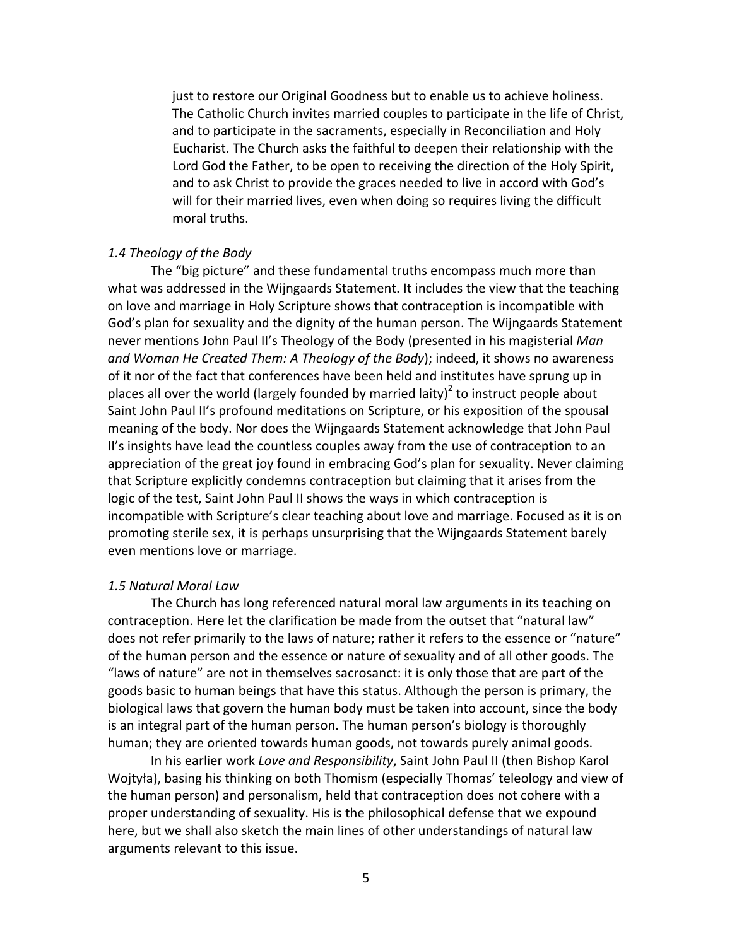just to restore our Original Goodness but to enable us to achieve holiness. The Catholic Church invites married couples to participate in the life of Christ, and to participate in the sacraments, especially in Reconciliation and Holy Eucharist. The Church asks the faithful to deepen their relationship with the Lord God the Father, to be open to receiving the direction of the Holy Spirit, and to ask Christ to provide the graces needed to live in accord with God's will for their married lives, even when doing so requires living the difficult moral truths.

# *1.4 Theology of the Body*

 The "big picture" and these fundamental truths encompass much more than what was addressed in the Wijngaards Statement. It includes the view that the teaching on love and marriage in Holy Scripture shows that contraception is incompatible with God's plan for sexuality and the dignity of the human person. The Wijngaards Statement never mentions John Paul II's Theology of the Body (presented in his magisterial *Man and Woman He Created Them: A Theology of the Body*); indeed, it shows no awareness of it nor of the fact that conferences have been held and institutes have sprung up in places all over the world (largely founded by married laity)<sup>2</sup> to instruct people about Saint John Paul II's profound meditations on Scripture, or his exposition of the spousal meaning of the body. Nor does the Wijngaards Statement acknowledge that John Paul II's insights have lead the countless couples away from the use of contraception to an appreciation of the great joy found in embracing God's plan for sexuality. Never claiming that Scripture explicitly condemns contraception but claiming that it arises from the logic of the test, Saint John Paul II shows the ways in which contraception is incompatible with Scripture's clear teaching about love and marriage. Focused as it is on promoting sterile sex, it is perhaps unsurprising that the Wijngaards Statement barely even mentions love or marriage.

# *1.5 Natural Moral Law*

 The Church has long referenced natural moral law arguments in its teaching on contraception. Here let the clarification be made from the outset that "natural law" does not refer primarily to the laws of nature; rather it refers to the essence or "nature" of the human person and the essence or nature of sexuality and of all other goods. The "laws of nature" are not in themselves sacrosanct: it is only those that are part of the goods basic to human beings that have this status. Although the person is primary, the biological laws that govern the human body must be taken into account, since the body is an integral part of the human person. The human person's biology is thoroughly human; they are oriented towards human goods, not towards purely animal goods.

In his earlier work Love and Responsibility, Saint John Paul II (then Bishop Karol Wojtyła), basing his thinking on both Thomism (especially Thomas' teleology and view of the human person) and personalism, held that contraception does not cohere with a proper understanding of sexuality. His is the philosophical defense that we expound here, but we shall also sketch the main lines of other understandings of natural law arguments relevant to this issue.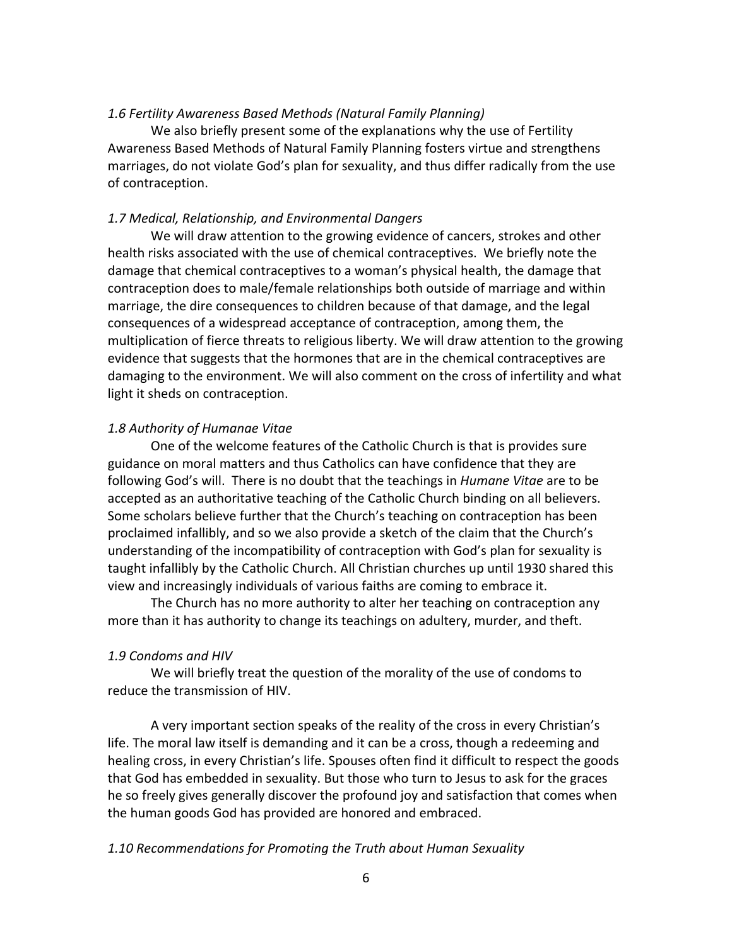# *1.6 Fertility Awareness Based Methods (Natural Family Planning)*

We also briefly present some of the explanations why the use of Fertility Awareness Based Methods of Natural Family Planning fosters virtue and strengthens marriages, do not violate God's plan for sexuality, and thus differ radically from the use of contraception.

# *1.7 Medical, Relationship, and Environmental Dangers*

 We will draw attention to the growing evidence of cancers, strokes and other health risks associated with the use of chemical contraceptives. We briefly note the damage that chemical contraceptives to a woman's physical health, the damage that contraception does to male/female relationships both outside of marriage and within marriage, the dire consequences to children because of that damage, and the legal consequences of a widespread acceptance of contraception, among them, the multiplication of fierce threats to religious liberty. We will draw attention to the growing evidence that suggests that the hormones that are in the chemical contraceptives are damaging to the environment. We will also comment on the cross of infertility and what light it sheds on contraception.

# *1.8 Authority of Humanae Vitae*

One of the welcome features of the Catholic Church is that is provides sure guidance on moral matters and thus Catholics can have confidence that they are following God's will. There is no doubt that the teachings in *Humane Vitae* are to be accepted as an authoritative teaching of the Catholic Church binding on all believers. Some scholars believe further that the Church's teaching on contraception has been proclaimed infallibly, and so we also provide a sketch of the claim that the Church's understanding of the incompatibility of contraception with God's plan for sexuality is taught infallibly by the Catholic Church. All Christian churches up until 1930 shared this view and increasingly individuals of various faiths are coming to embrace it.

The Church has no more authority to alter her teaching on contraception any more than it has authority to change its teachings on adultery, murder, and theft.

# *1.9 Condoms and HIV*

 We will briefly treat the question of the morality of the use of condoms to reduce the transmission of HIV.

A very important section speaks of the reality of the cross in every Christian's life. The moral law itself is demanding and it can be a cross, though a redeeming and healing cross, in every Christian's life. Spouses often find it difficult to respect the goods that God has embedded in sexuality. But those who turn to Jesus to ask for the graces he so freely gives generally discover the profound joy and satisfaction that comes when the human goods God has provided are honored and embraced.

# *1.10 Recommendations for Promoting the Truth about Human Sexuality*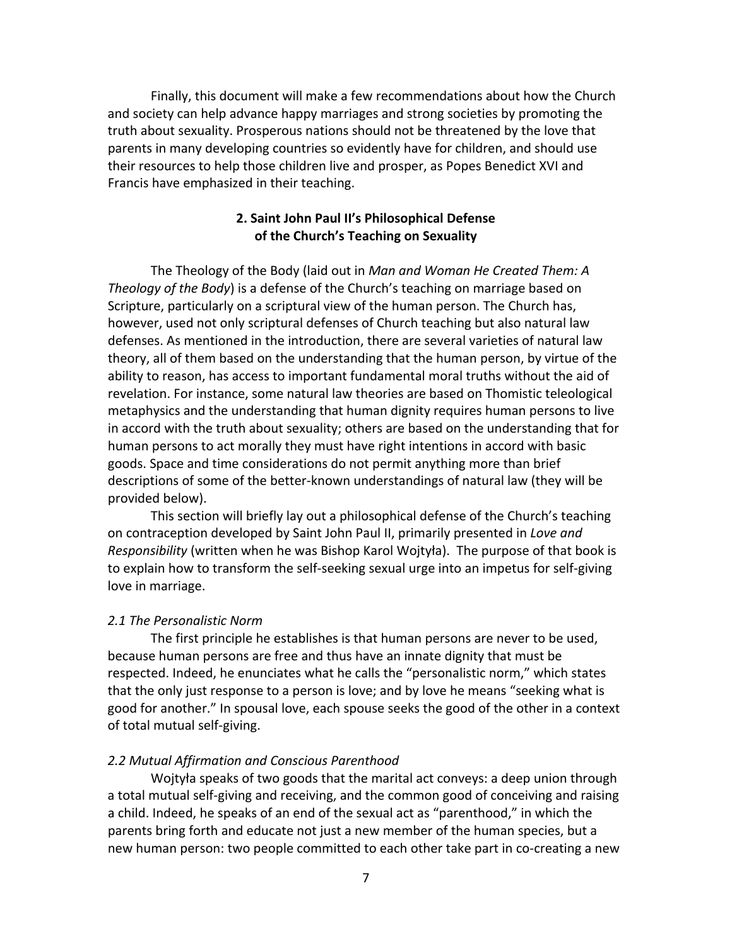Finally, this document will make a few recommendations about how the Church and society can help advance happy marriages and strong societies by promoting the truth about sexuality. Prosperous nations should not be threatened by the love that parents in many developing countries so evidently have for children, and should use their resources to help those children live and prosper, as Popes Benedict XVI and Francis have emphasized in their teaching.

# **2. Saint John Paul II's Philosophical Defense of the Church's Teaching on Sexuality**

  The Theology of the Body (laid out in *Man and Woman He Created Them: A Theology of the Body*) is a defense of the Church's teaching on marriage based on Scripture, particularly on a scriptural view of the human person. The Church has, however, used not only scriptural defenses of Church teaching but also natural law defenses. As mentioned in the introduction, there are several varieties of natural law theory, all of them based on the understanding that the human person, by virtue of the ability to reason, has access to important fundamental moral truths without the aid of revelation. For instance, some natural law theories are based on Thomistic teleological metaphysics and the understanding that human dignity requires human persons to live in accord with the truth about sexuality; others are based on the understanding that for human persons to act morally they must have right intentions in accord with basic goods. Space and time considerations do not permit anything more than brief descriptions of some of the better-known understandings of natural law (they will be provided below).

 This section will briefly lay out a philosophical defense of the Church's teaching  on contraception developed by Saint John Paul II, primarily presented in *Love and* Responsibility (written when he was Bishop Karol Wojtyła). The purpose of that book is to explain how to transform the self-seeking sexual urge into an impetus for self-giving love in marriage.

# *2.1 The Personalistic Norm*

 The first principle he establishes is that human persons are never to be used, because human persons are free and thus have an innate dignity that must be respected. Indeed, he enunciates what he calls the "personalistic norm," which states that the only just response to a person is love; and by love he means "seeking what is good for another." In spousal love, each spouse seeks the good of the other in a context of total mutual self-giving.

# *2.2 Mutual Affirmation and Conscious Parenthood*

Wojtyła speaks of two goods that the marital act conveys: a deep union through a total mutual self-giving and receiving, and the common good of conceiving and raising a child. Indeed, he speaks of an end of the sexual act as "parenthood," in which the parents bring forth and educate not just a new member of the human species, but a new human person: two people committed to each other take part in co-creating a new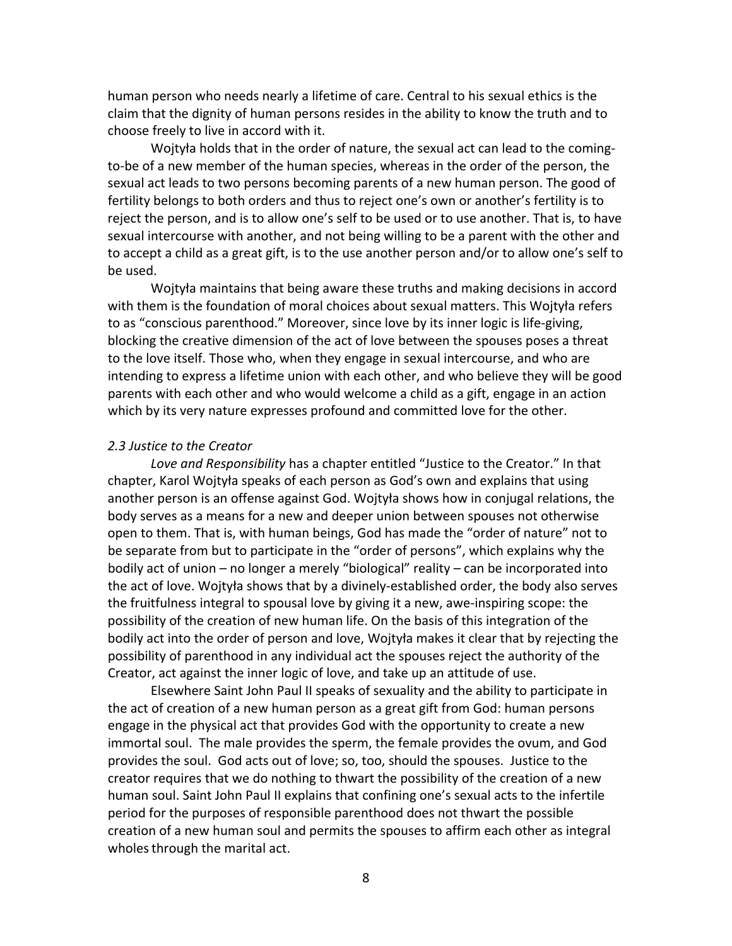human person who needs nearly a lifetime of care. Central to his sexual ethics is the claim that the dignity of human persons resides in the ability to know the truth and to choose freely to live in accord with it.

 Wojtyła holds that in the order of nature, the sexual act can lead to the coming- to-be of a new member of the human species, whereas in the order of the person, the sexual act leads to two persons becoming parents of a new human person. The good of fertility belongs to both orders and thus to reject one's own or another's fertility is to reject the person, and is to allow one's self to be used or to use another. That is, to have sexual intercourse with another, and not being willing to be a parent with the other and to accept a child as a great gift, is to the use another person and/or to allow one's self to be used.

 Wojtyła maintains that being aware these truths and making decisions in accord with them is the foundation of moral choices about sexual matters. This Wojtyła refers to as "conscious parenthood." Moreover, since love by its inner logic is life-giving, blocking the creative dimension of the act of love between the spouses poses a threat to the love itself. Those who, when they engage in sexual intercourse, and who are intending to express a lifetime union with each other, and who believe they will be good parents with each other and who would welcome a child as a gift, engage in an action which by its very nature expresses profound and committed love for the other. 

# *2.3 Justice to the Creator*

Love and Responsibility has a chapter entitled "Justice to the Creator." In that chapter, Karol Wojtyła speaks of each person as God's own and explains that using another person is an offense against God. Wojtyła shows how in conjugal relations, the body serves as a means for a new and deeper union between spouses not otherwise open to them. That is, with human beings, God has made the "order of nature" not to be separate from but to participate in the "order of persons", which explains why the bodily act of union - no longer a merely "biological" reality - can be incorporated into the act of love. Wojtyła shows that by a divinely-established order, the body also serves the fruitfulness integral to spousal love by giving it a new, awe-inspiring scope: the possibility of the creation of new human life. On the basis of this integration of the bodily act into the order of person and love, Wojtyła makes it clear that by rejecting the possibility of parenthood in any individual act the spouses reject the authority of the Creator, act against the inner logic of love, and take up an attitude of use.

Elsewhere Saint John Paul II speaks of sexuality and the ability to participate in the act of creation of a new human person as a great gift from God: human persons engage in the physical act that provides God with the opportunity to create a new immortal soul. The male provides the sperm, the female provides the ovum, and God provides the soul. God acts out of love; so, too, should the spouses. Justice to the creator requires that we do nothing to thwart the possibility of the creation of a new human soul. Saint John Paul II explains that confining one's sexual acts to the infertile period for the purposes of responsible parenthood does not thwart the possible creation of a new human soul and permits the spouses to affirm each other as integral wholes through the marital act.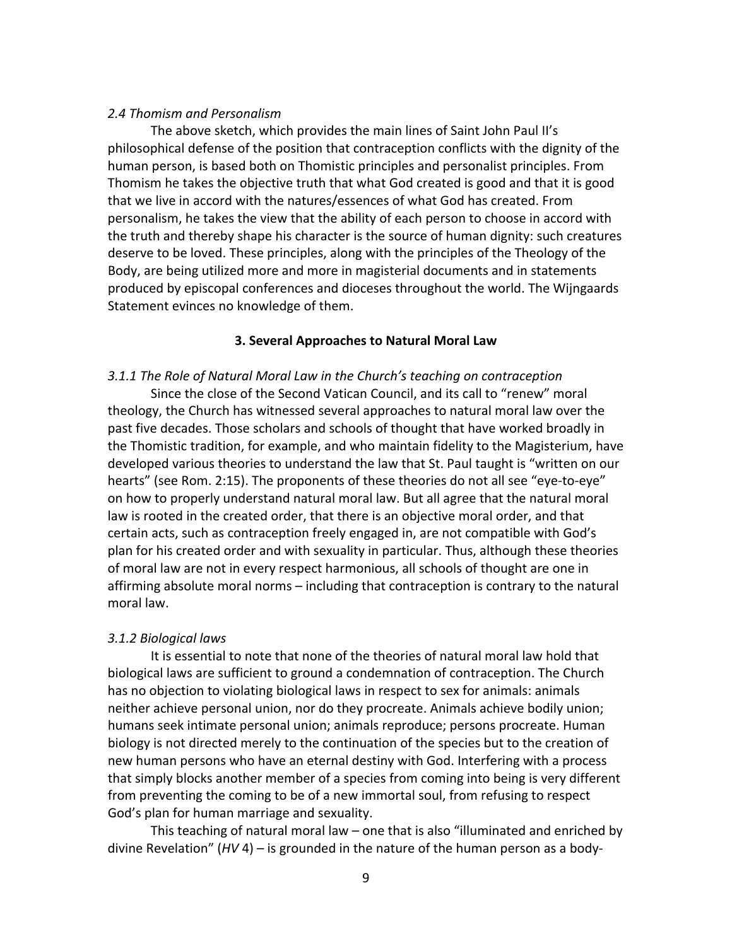# *2.4 Thomism and Personalism*

The above sketch, which provides the main lines of Saint John Paul II's philosophical defense of the position that contraception conflicts with the dignity of the human person, is based both on Thomistic principles and personalist principles. From Thomism he takes the objective truth that what God created is good and that it is good that we live in accord with the natures/essences of what God has created. From personalism, he takes the view that the ability of each person to choose in accord with the truth and thereby shape his character is the source of human dignity: such creatures deserve to be loved. These principles, along with the principles of the Theology of the Body, are being utilized more and more in magisterial documents and in statements produced by episcopal conferences and dioceses throughout the world. The Wijngaards Statement evinces no knowledge of them.

# **3. Several Approaches to Natural Moral Law**

# *3.1.1 The Role of Natural Moral Law in the Church's teaching on contraception*

 Since the close of the Second Vatican Council, and its call to "renew" moral theology, the Church has witnessed several approaches to natural moral law over the past five decades. Those scholars and schools of thought that have worked broadly in the Thomistic tradition, for example, and who maintain fidelity to the Magisterium, have developed various theories to understand the law that St. Paul taught is "written on our hearts" (see Rom. 2:15). The proponents of these theories do not all see "eye-to-eye" on how to properly understand natural moral law. But all agree that the natural moral law is rooted in the created order, that there is an objective moral order, and that certain acts, such as contraception freely engaged in, are not compatible with God's plan for his created order and with sexuality in particular. Thus, although these theories of moral law are not in every respect harmonious, all schools of thought are one in affirming absolute moral norms – including that contraception is contrary to the natural moral law.

# *3.1.2 Biological laws*

 It is essential to note that none of the theories of natural moral law hold that biological laws are sufficient to ground a condemnation of contraception. The Church has no objection to violating biological laws in respect to sex for animals: animals neither achieve personal union, nor do they procreate. Animals achieve bodily union; humans seek intimate personal union; animals reproduce; persons procreate. Human biology is not directed merely to the continuation of the species but to the creation of new human persons who have an eternal destiny with God. Interfering with a process that simply blocks another member of a species from coming into being is very different from preventing the coming to be of a new immortal soul, from refusing to respect God's plan for human marriage and sexuality.

This teaching of natural moral law  $-$  one that is also "illuminated and enriched by divine Revelation" (*HV* 4) – is grounded in the nature of the human person as a body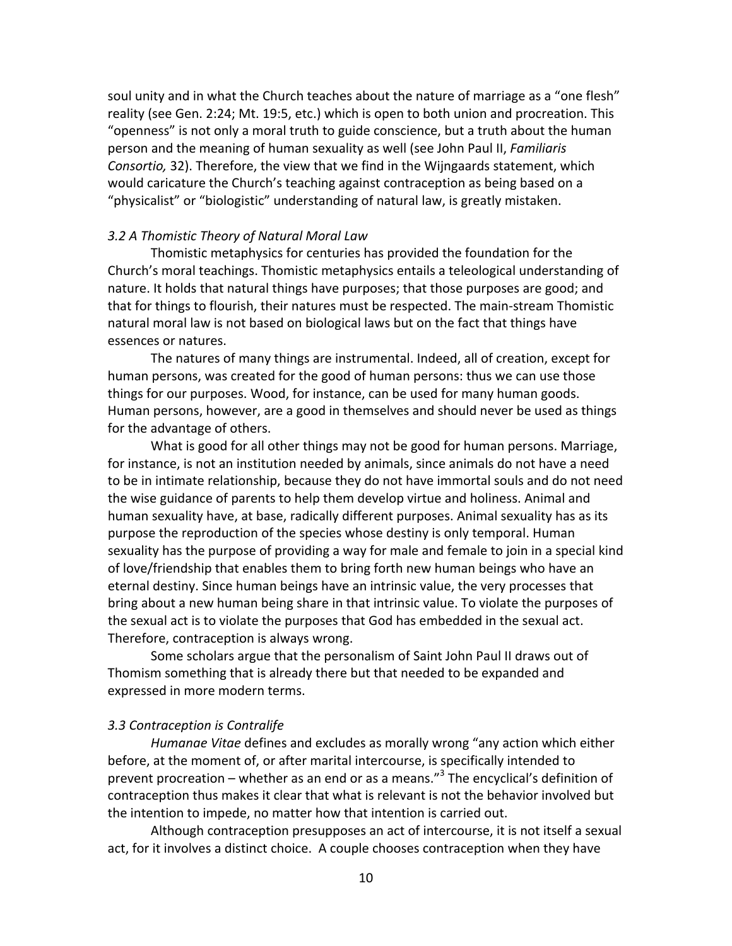soul unity and in what the Church teaches about the nature of marriage as a "one flesh" reality (see Gen. 2:24; Mt. 19:5, etc.) which is open to both union and procreation. This "openness" is not only a moral truth to guide conscience, but a truth about the human person and the meaning of human sexuality as well (see John Paul II, *Familiaris Consortio,* 32). Therefore, the view that we find in the Wijngaards statement, which would caricature the Church's teaching against contraception as being based on a "physicalist" or "biologistic" understanding of natural law, is greatly mistaken.

# *3.2 A Thomistic Theory of Natural Moral Law*

 Thomistic metaphysics for centuries has provided the foundation for the Church's moral teachings. Thomistic metaphysics entails a teleological understanding of nature. It holds that natural things have purposes; that those purposes are good; and that for things to flourish, their natures must be respected. The main-stream Thomistic natural moral law is not based on biological laws but on the fact that things have essences or natures.

 The natures of many things are instrumental. Indeed, all of creation, except for human persons, was created for the good of human persons: thus we can use those things for our purposes. Wood, for instance, can be used for many human goods. Human persons, however, are a good in themselves and should never be used as things for the advantage of others.

 What is good for all other things may not be good for human persons. Marriage, for instance, is not an institution needed by animals, since animals do not have a need to be in intimate relationship, because they do not have immortal souls and do not need the wise guidance of parents to help them develop virtue and holiness. Animal and human sexuality have, at base, radically different purposes. Animal sexuality has as its purpose the reproduction of the species whose destiny is only temporal. Human sexuality has the purpose of providing a way for male and female to join in a special kind of love/friendship that enables them to bring forth new human beings who have an eternal destiny. Since human beings have an intrinsic value, the very processes that bring about a new human being share in that intrinsic value. To violate the purposes of the sexual act is to violate the purposes that God has embedded in the sexual act. Therefore, contraception is always wrong.

 Some scholars argue that the personalism of Saint John Paul II draws out of Thomism something that is already there but that needed to be expanded and expressed in more modern terms.

# *3.3 Contraception is Contralife*

 *Humanae Vitae* defines and excludes as morally wrong "any action which either before, at the moment of, or after marital intercourse, is specifically intended to prevent procreation – whether as an end or as a means."<sup>3</sup> The encyclical's definition of contraception thus makes it clear that what is relevant is not the behavior involved but the intention to impede, no matter how that intention is carried out.

Although contraception presupposes an act of intercourse, it is not itself a sexual act, for it involves a distinct choice. A couple chooses contraception when they have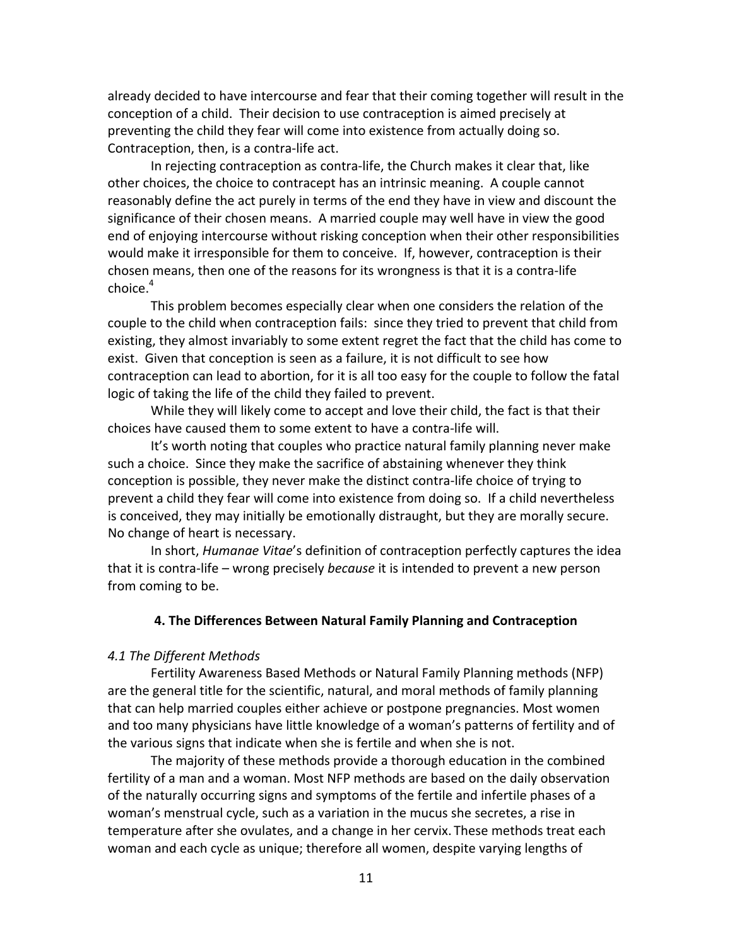already decided to have intercourse and fear that their coming together will result in the conception of a child. Their decision to use contraception is aimed precisely at preventing the child they fear will come into existence from actually doing so. Contraception, then, is a contra-life act.

In rejecting contraception as contra-life, the Church makes it clear that, like other choices, the choice to contracept has an intrinsic meaning. A couple cannot reasonably define the act purely in terms of the end they have in view and discount the significance of their chosen means. A married couple may well have in view the good end of enjoying intercourse without risking conception when their other responsibilities would make it irresponsible for them to conceive. If, however, contraception is their chosen means, then one of the reasons for its wrongness is that it is a contra-life  $choice<sup>4</sup>$ 

 This problem becomes especially clear when one considers the relation of the couple to the child when contraception fails: since they tried to prevent that child from existing, they almost invariably to some extent regret the fact that the child has come to exist. Given that conception is seen as a failure, it is not difficult to see how contraception can lead to abortion, for it is all too easy for the couple to follow the fatal logic of taking the life of the child they failed to prevent.

While they will likely come to accept and love their child, the fact is that their choices have caused them to some extent to have a contra-life will.

It's worth noting that couples who practice natural family planning never make such a choice. Since they make the sacrifice of abstaining whenever they think conception is possible, they never make the distinct contra-life choice of trying to prevent a child they fear will come into existence from doing so. If a child nevertheless is conceived, they may initially be emotionally distraught, but they are morally secure. No change of heart is necessary.

 In short, *Humanae Vitae*'s definition of contraception perfectly captures the idea that it is contra-life – wrong precisely *because* it is intended to prevent a new person from coming to be.

# **4. The Differences Between Natural Family Planning and Contraception**

# *4.1 The Different Methods*

 Fertility Awareness Based Methods or Natural Family Planning methods (NFP) are the general title for the scientific, natural, and moral methods of family planning that can help married couples either achieve or postpone pregnancies. Most women and too many physicians have little knowledge of a woman's patterns of fertility and of the various signs that indicate when she is fertile and when she is not.

 The majority of these methods provide a thorough education in the combined fertility of a man and a woman. Most NFP methods are based on the daily observation of the naturally occurring signs and symptoms of the fertile and infertile phases of a woman's menstrual cycle, such as a variation in the mucus she secretes, a rise in temperature after she ovulates, and a change in her cervix. These methods treat each woman and each cycle as unique; therefore all women, despite varying lengths of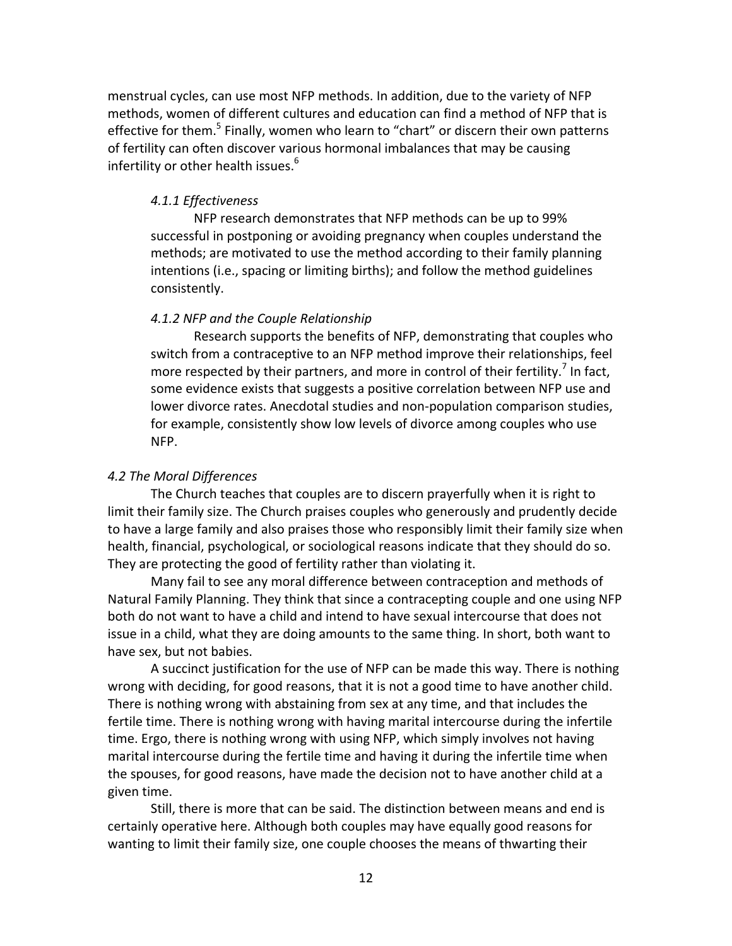menstrual cycles, can use most NFP methods. In addition, due to the variety of NFP methods, women of different cultures and education can find a method of NFP that is effective for them.<sup>5</sup> Finally, women who learn to "chart" or discern their own patterns of fertility can often discover various hormonal imbalances that may be causing infertility or other health issues.<sup>6</sup>

# *4.1.1 Effectiveness*

 NFP research demonstrates that NFP methods can be up to 99% successful in postponing or avoiding pregnancy when couples understand the methods; are motivated to use the method according to their family planning intentions (i.e., spacing or limiting births); and follow the method guidelines consistently.

# *4.1.2 NFP and the Couple Relationship*

 Research supports the benefits of NFP, demonstrating that couples who switch from a contraceptive to an NFP method improve their relationships, feel more respected by their partners, and more in control of their fertility.<sup>7</sup> In fact, some evidence exists that suggests a positive correlation between NFP use and lower divorce rates. Anecdotal studies and non-population comparison studies, for example, consistently show low levels of divorce among couples who use NFP.

# *4.2 The Moral Differences*

 The Church teaches that couples are to discern prayerfully when it is right to limit their family size. The Church praises couples who generously and prudently decide to have a large family and also praises those who responsibly limit their family size when health, financial, psychological, or sociological reasons indicate that they should do so. They are protecting the good of fertility rather than violating it.

 Many fail to see any moral difference between contraception and methods of Natural Family Planning. They think that since a contracepting couple and one using NFP both do not want to have a child and intend to have sexual intercourse that does not issue in a child, what they are doing amounts to the same thing. In short, both want to have sex, but not babies.

 A succinct justification for the use of NFP can be made this way. There is nothing wrong with deciding, for good reasons, that it is not a good time to have another child. There is nothing wrong with abstaining from sex at any time, and that includes the fertile time. There is nothing wrong with having marital intercourse during the infertile time. Ergo, there is nothing wrong with using NFP, which simply involves not having marital intercourse during the fertile time and having it during the infertile time when the spouses, for good reasons, have made the decision not to have another child at a given time.

 Still, there is more that can be said. The distinction between means and end is certainly operative here. Although both couples may have equally good reasons for wanting to limit their family size, one couple chooses the means of thwarting their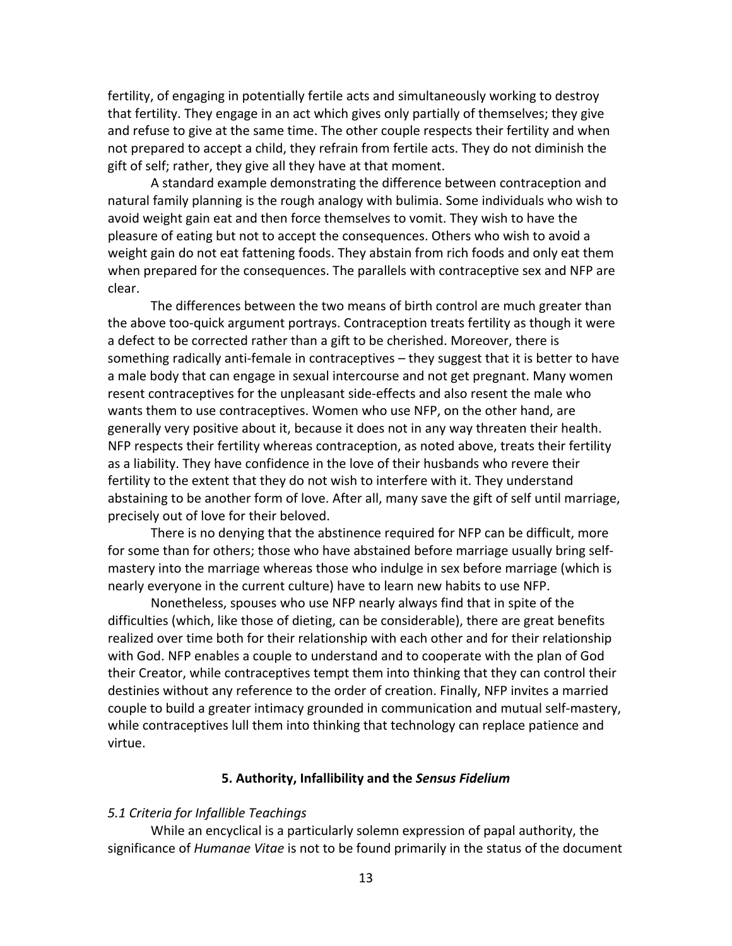fertility, of engaging in potentially fertile acts and simultaneously working to destroy that fertility. They engage in an act which gives only partially of themselves; they give and refuse to give at the same time. The other couple respects their fertility and when not prepared to accept a child, they refrain from fertile acts. They do not diminish the gift of self; rather, they give all they have at that moment.

 A standard example demonstrating the difference between contraception and natural family planning is the rough analogy with bulimia. Some individuals who wish to avoid weight gain eat and then force themselves to vomit. They wish to have the pleasure of eating but not to accept the consequences. Others who wish to avoid a weight gain do not eat fattening foods. They abstain from rich foods and only eat them when prepared for the consequences. The parallels with contraceptive sex and NFP are clear.

 The differences between the two means of birth control are much greater than the above too-quick argument portrays. Contraception treats fertility as though it were a defect to be corrected rather than a gift to be cherished. Moreover, there is something radically anti-female in contraceptives – they suggest that it is better to have a male body that can engage in sexual intercourse and not get pregnant. Many women resent contraceptives for the unpleasant side-effects and also resent the male who wants them to use contraceptives. Women who use NFP, on the other hand, are generally very positive about it, because it does not in any way threaten their health. NFP respects their fertility whereas contraception, as noted above, treats their fertility as a liability. They have confidence in the love of their husbands who revere their fertility to the extent that they do not wish to interfere with it. They understand abstaining to be another form of love. After all, many save the gift of self until marriage, precisely out of love for their beloved.

 There is no denying that the abstinence required for NFP can be difficult, more for some than for others; those who have abstained before marriage usually bring selfmastery into the marriage whereas those who indulge in sex before marriage (which is nearly everyone in the current culture) have to learn new habits to use NFP.

 Nonetheless, spouses who use NFP nearly always find that in spite of the difficulties (which, like those of dieting, can be considerable), there are great benefits realized over time both for their relationship with each other and for their relationship with God. NFP enables a couple to understand and to cooperate with the plan of God their Creator, while contraceptives tempt them into thinking that they can control their destinies without any reference to the order of creation. Finally, NFP invites a married couple to build a greater intimacy grounded in communication and mutual self-mastery, while contraceptives lull them into thinking that technology can replace patience and virtue.

# **5. Authority, Infallibility and the** *Sensus Fidelium*

# *5.1 Criteria for Infallible Teachings*

 While an encyclical is a particularly solemn expression of papal authority, the significance of *Humanae Vitae* is not to be found primarily in the status of the document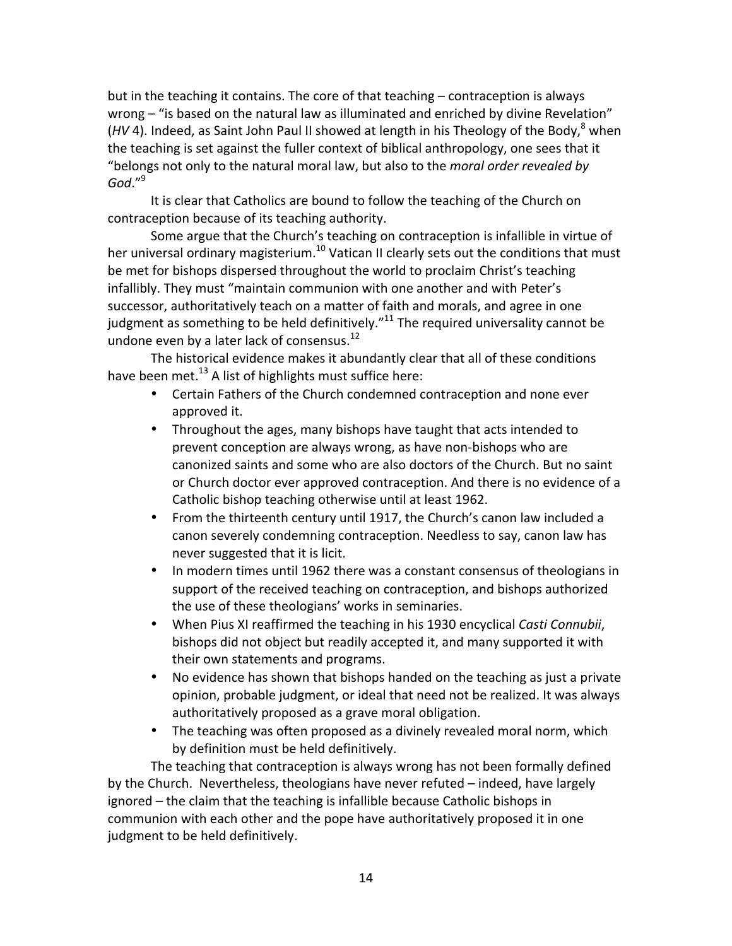but in the teaching it contains. The core of that teaching – contraception is always wrong – "is based on the natural law as illuminated and enriched by divine Revelation" (HV 4). Indeed, as Saint John Paul II showed at length in his Theology of the Body,<sup>8</sup> when the teaching is set against the fuller context of biblical anthropology, one sees that it  "belongs not only to the natural moral law, but also to the *moral order revealed by God*."9

It is clear that Catholics are bound to follow the teaching of the Church on contraception because of its teaching authority.

Some argue that the Church's teaching on contraception is infallible in virtue of her universal ordinary magisterium.<sup>10</sup> Vatican II clearly sets out the conditions that must be met for bishops dispersed throughout the world to proclaim Christ's teaching infallibly. They must "maintain communion with one another and with Peter's successor, authoritatively teach on a matter of faith and morals, and agree in one judgment as something to be held definitively."<sup>11</sup> The required universality cannot be undone even by a later lack of [consensus.](https://consensus.12)<sup>12</sup>

 The historical evidence makes it abundantly clear that all of these conditions have been met. $^{13}$  A list of highlights must suffice here:

- Certain Fathers of the Church condemned contraception and none ever approved it.
- Throughout the ages, many bishops have taught that acts intended to prevent conception are always wrong, as have non-bishops who are canonized saints and some who are also doctors of the Church. But no saint or Church doctor ever approved contraception. And there is no evidence of a Catholic bishop teaching otherwise until at least 1962.
- From the thirteenth century until 1917, the Church's canon law included a canon severely condemning contraception. Needless to say, canon law has never suggested that it is licit.
- In modern times until 1962 there was a constant consensus of theologians in support of the received teaching on contraception, and bishops authorized the use of these theologians' works in seminaries.
- When Pius XI reaffirmed the teaching in his 1930 encyclical *Casti Connubii*, bishops did not object but readily accepted it, and many supported it with their own statements and programs.
- No evidence has shown that bishops handed on the teaching as just a private opinion, probable judgment, or ideal that need not be realized. It was always authoritatively proposed as a grave moral obligation.
- The teaching was often proposed as a divinely revealed moral norm, which by definition must be held definitively.

The teaching that contraception is always wrong has not been formally defined by the Church. Nevertheless, theologians have never refuted – indeed, have largely ignored – the claim that the teaching is infallible because Catholic bishops in communion with each other and the pope have authoritatively proposed it in one judgment to be held definitively.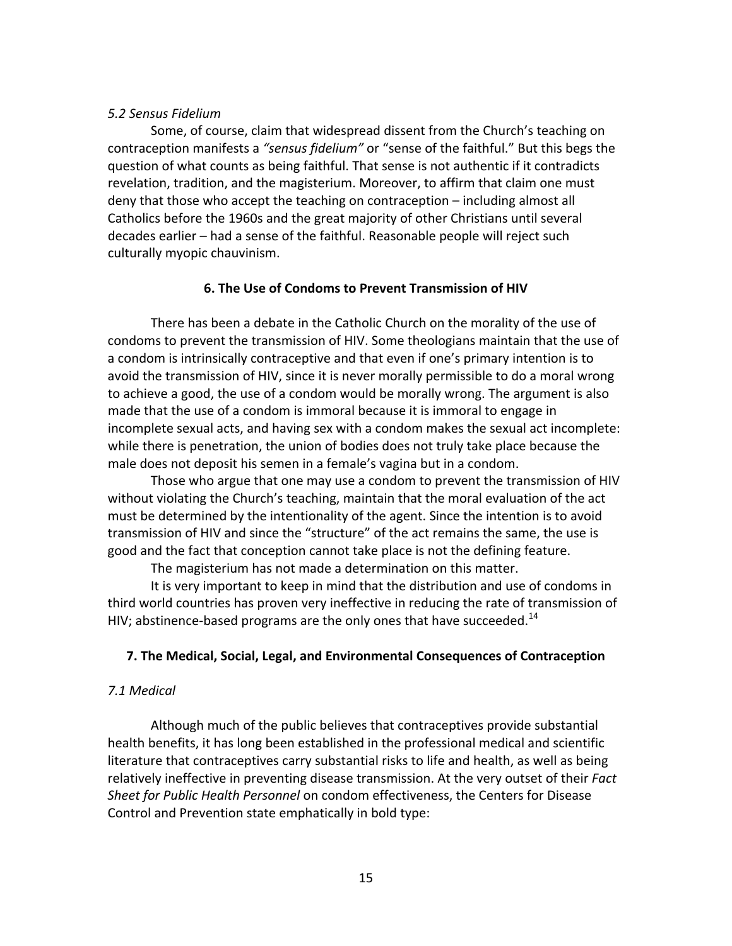# *5.2 Sensus Fidelium*

 Some, of course, claim that widespread dissent from the Church's teaching on contraception manifests a *"sensus fidelium"* or "sense of the faithful." But this begs the question of what counts as being faithful. That sense is not authentic if it contradicts revelation, tradition, and the magisterium. Moreover, to affirm that claim one must deny that those who accept the teaching on contraception – including almost all Catholics before the 1960s and the great majority of other Christians until several decades earlier – had a sense of the faithful. Reasonable people will reject such culturally myopic chauvinism.

# **6. The Use of Condoms to Prevent Transmission of HIV**

 There has been a debate in the Catholic Church on the morality of the use of condoms to prevent the transmission of HIV. Some theologians maintain that the use of a condom is intrinsically contraceptive and that even if one's primary intention is to avoid the transmission of HIV, since it is never morally permissible to do a moral wrong to achieve a good, the use of a condom would be morally wrong. The argument is also made that the use of a condom is immoral because it is immoral to engage in incomplete sexual acts, and having sex with a condom makes the sexual act incomplete: while there is penetration, the union of bodies does not truly take place because the male does not deposit his semen in a female's vagina but in a condom.

 Those who argue that one may use a condom to prevent the transmission of HIV without violating the Church's teaching, maintain that the moral evaluation of the act must be determined by the intentionality of the agent. Since the intention is to avoid transmission of HIV and since the "structure" of the act remains the same, the use is good and the fact that conception cannot take place is not the defining feature.

 The magisterium has not made a determination on this matter.

 It is very important to keep in mind that the distribution and use of condoms in third world countries has proven very ineffective in reducing the rate of transmission of HIV; abstinence-based programs are the only ones that have [succeeded.](https://succeeded.14)<sup>14</sup>

# **7. The Medical, Social, Legal, and Environmental Consequences of Contraception**

# *7.1 Medical*

 Although much of the public believes that contraceptives provide substantial health benefits, it has long been established in the professional medical and scientific literature that contraceptives carry substantial risks to life and health, as well as being relatively ineffective in preventing disease transmission. At the very outset of their *Fact Sheet for Public Health Personnel* on condom effectiveness, the Centers for Disease Control and Prevention state emphatically in bold type: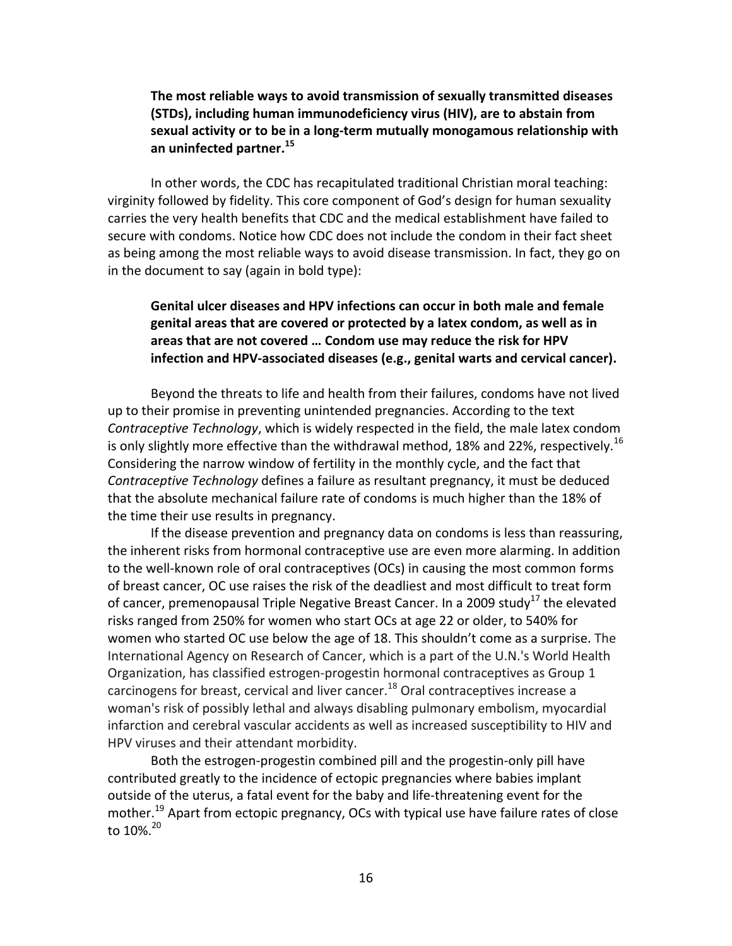# The most reliable ways to avoid transmission of sexually transmitted diseases **(STDs), including human immunodeficiency virus (HIV), are to abstain from** sexual activity or to be in a long-term mutually monogamous relationship with **[an uninfected partner.](https://an	uninfected	partner.15)<sup>15</sup>**

 In other words, the CDC has recapitulated traditional Christian moral teaching: virginity followed by fidelity. This core component of God's design for human sexuality carries the very health benefits that CDC and the medical establishment have failed to secure with condoms. Notice how CDC does not include the condom in their fact sheet as being among the most reliable ways to avoid disease transmission. In fact, they go on in the document to say (again in bold type):

# **areas that are not covered … Condom use may reduce the risk for HPV** Genital ulcer diseases and HPV infections can occur in both male and female genital areas that are covered or protected by a latex condom, as well as in infection and HPV-associated diseases (e.g., genital warts and cervical cancer).

Beyond the threats to life and health from their failures, condoms have not lived up to their promise in preventing unintended pregnancies. According to the text *Contraceptive Technology*, which is widely respected in the field, the male latex condom is only slightly more effective than the withdrawal method, 18% and 22%, [respectively.](https://respectively.16)<sup>16</sup> Considering the narrow window of fertility in the monthly cycle, and the fact that Contraceptive Technology defines a failure as resultant pregnancy, it must be deduced that the absolute mechanical failure rate of condoms is much higher than the 18% of the time their use results in pregnancy.

If the disease prevention and pregnancy data on condoms is less than reassuring, the inherent risks from hormonal contraceptive use are even more alarming. In addition to the well-known role of oral contraceptives (OCs) in causing the most common forms of breast cancer, OC use raises the risk of the deadliest and most difficult to treat form of cancer, premenopausal Triple Negative Breast Cancer. In a 2009 study<sup>17</sup> the elevated risks ranged from 250% for women who start OCs at age 22 or older, to 540% for women who started OC use below the age of 18. This shouldn't come as a surprise. The International Agency on Research of Cancer, which is a part of the U.N.'s World Health Organization, has classified estrogen-progestin hormonal contraceptives as Group 1 carcinogens for breast, cervical and liver cancer.<sup>18</sup> Oral contraceptives increase a woman's risk of possibly lethal and always disabling pulmonary embolism, myocardial infarction and cerebral vascular accidents as well as increased susceptibility to HIV and HPV viruses and their attendant morbidity.

 Both the estrogen-progestin combined pill and the progestin-only pill have contributed greatly to the incidence of ectopic pregnancies where babies implant outside of the uterus, a fatal event for the baby and life-threatening event for the mother.<sup>19</sup> Apart from ectopic pregnancy, OCs with typical use have failure rates of close to 10%. $^{20}$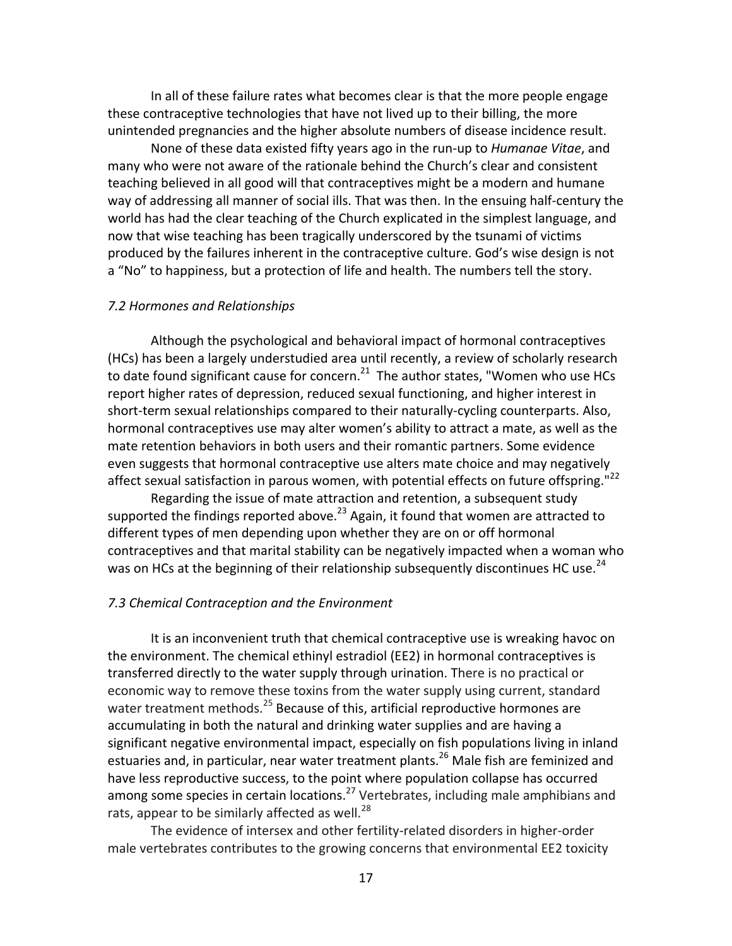In all of these failure rates what becomes clear is that the more people engage these contraceptive technologies that have not lived up to their billing, the more unintended pregnancies and the higher absolute numbers of disease incidence result.

None of these data existed fifty years ago in the run-up to *Humanae Vitae*, and many who were not aware of the rationale behind the Church's clear and consistent teaching believed in all good will that contraceptives might be a modern and humane way of addressing all manner of social ills. That was then. In the ensuing half-century the world has had the clear teaching of the Church explicated in the simplest language, and now that wise teaching has been tragically underscored by the tsunami of victims produced by the failures inherent in the contraceptive culture. God's wise design is not a "No" to happiness, but a protection of life and health. The numbers tell the story.

# *7.2 Hormones and Relationships*

 Although the psychological and behavioral impact of hormonal contraceptives (HCs) has been a largely understudied area until recently, a review of scholarly research to date found significant cause for concern.<sup>21</sup> The author states, "Women who use HCs report higher rates of depression, reduced sexual functioning, and higher interest in short-term sexual relationships compared to their naturally-cycling counterparts. Also, hormonal contraceptives use may alter women's ability to attract a mate, as well as the mate retention behaviors in both users and their romantic partners. Some evidence even suggests that hormonal contraceptive use alters mate choice and may negatively affect sexual satisfaction in parous women, with potential effects on future offspring."<sup>22</sup>

 Regarding the issue of mate attraction and retention, a subsequent study supported the findings reported above.<sup>23</sup> Again, it found that women are attracted to different types of men depending upon whether they are on or off hormonal contraceptives and that marital stability can be negatively impacted when a woman who was on HCs at the beginning of their relationship subsequently discontinues HC use.<sup>24</sup>

# *7.3 Chemical Contraception and the Environment*

 It is an inconvenient truth that chemical contraceptive use is wreaking havoc on the environment. The chemical ethinyl estradiol (EE2) in hormonal contraceptives is transferred directly to the water supply through urination. There is no practical or economic way to remove these toxins from the water supply using current, standard water treatment methods.<sup>25</sup> Because of this, artificial reproductive hormones are accumulating in both the natural and drinking water supplies and are having a significant negative environmental impact, especially on fish populations living in inland estuaries and, in particular, near water treatment plants.<sup>26</sup> Male fish are feminized and have less reproductive success, to the point where population collapse has occurred among some species in certain locations.<sup>27</sup> Vertebrates, including male amphibians and rats, appear to be similarly affected as well.<sup>28</sup>

 The evidence of intersex and other fertility-related disorders in higher-order male vertebrates contributes to the growing concerns that environmental EE2 toxicity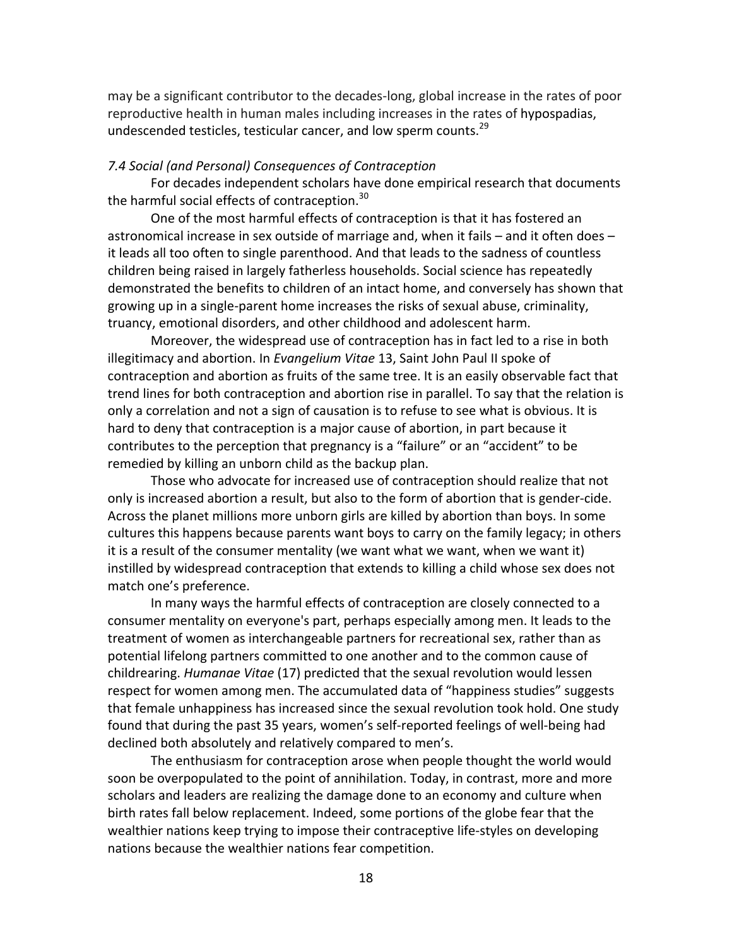may be a significant contributor to the decades-long, global increase in the rates of poor reproductive health in human males including increases in the rates of hypospadias, undescended testicles, testicular cancer, and low sperm counts.<sup>29</sup>

# *7.4 Social (and Personal) Consequences of Contraception*

 For decades independent scholars have done empirical research that documents the harmful social effects of [contraception.](https://contraception.30)<sup>30</sup>

 One of the most harmful effects of contraception is that it has fostered an astronomical increase in sex outside of marriage and, when it fails – and it often does – it leads all too often to single parenthood. And that leads to the sadness of countless children being raised in largely fatherless households. Social science has repeatedly demonstrated the benefits to children of an intact home, and conversely has shown that growing up in a single-parent home increases the risks of sexual abuse, criminality, truancy, emotional disorders, and other childhood and adolescent harm.

 Moreover, the widespread use of contraception has in fact led to a rise in both illegitimacy and abortion. In *Evangelium Vitae* 13, Saint John Paul II spoke of contraception and abortion as fruits of the same tree. It is an easily observable fact that trend lines for both contraception and abortion rise in parallel. To say that the relation is only a correlation and not a sign of causation is to refuse to see what is obvious. It is hard to deny that contraception is a major cause of abortion, in part because it contributes to the perception that pregnancy is a "failure" or an "accident" to be remedied by killing an unborn child as the backup plan.

 Those who advocate for increased use of contraception should realize that not only is increased abortion a result, but also to the form of abortion that is gender-cide. Across the planet millions more unborn girls are killed by abortion than boys. In some cultures this happens because parents want boys to carry on the family legacy; in others it is a result of the consumer mentality (we want what we want, when we want it) instilled by widespread contraception that extends to killing a child whose sex does not match one's preference.

 In many ways the harmful effects of contraception are closely connected to a consumer mentality on everyone's part, perhaps especially among men. It leads to the treatment of women as interchangeable partners for recreational sex, rather than as potential lifelong partners committed to one another and to the common cause of childrearing. *Humanae Vitae* (17) predicted that the sexual revolution would lessen respect for women among men. The accumulated data of "happiness studies" suggests that female unhappiness has increased since the sexual revolution took hold. One study found that during the past 35 years, women's self-reported feelings of well-being had declined both absolutely and relatively compared to men's.

 The enthusiasm for contraception arose when people thought the world would soon be overpopulated to the point of annihilation. Today, in contrast, more and more scholars and leaders are realizing the damage done to an economy and culture when birth rates fall below replacement. Indeed, some portions of the globe fear that the wealthier nations keep trying to impose their contraceptive life-styles on developing nations because the wealthier nations fear competition.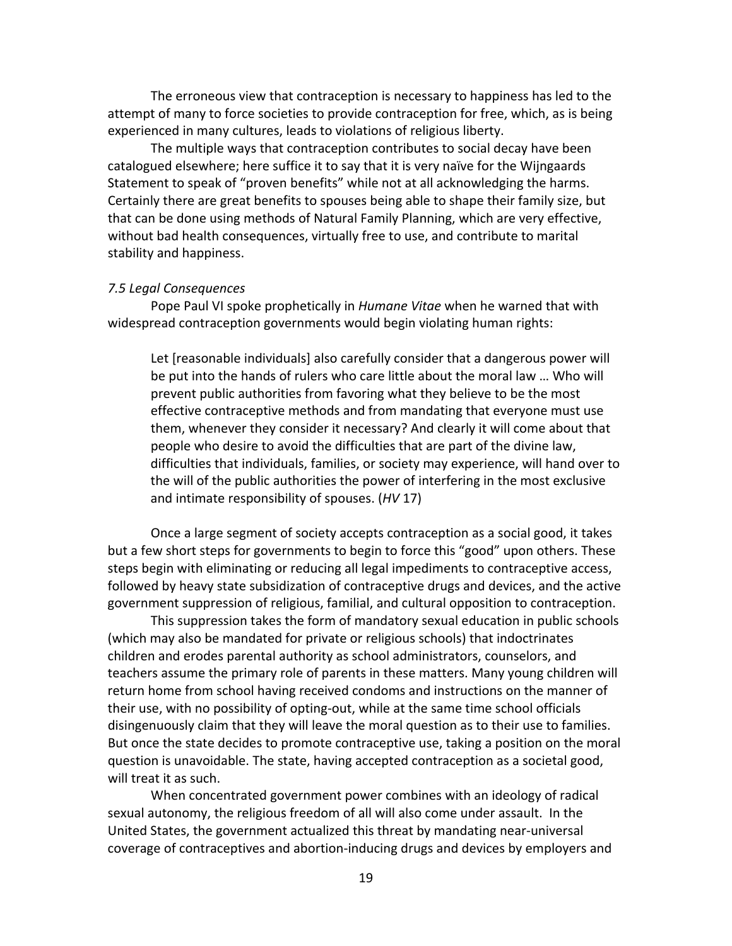The erroneous view that contraception is necessary to happiness has led to the attempt of many to force societies to provide contraception for free, which, as is being experienced in many cultures, leads to violations of religious liberty.

 The multiple ways that contraception contributes to social decay have been catalogued elsewhere; here suffice it to say that it is very naïve for the Wijngaards Statement to speak of "proven benefits" while not at all acknowledging the harms. Certainly there are great benefits to spouses being able to shape their family size, but that can be done using methods of Natural Family Planning, which are very effective, without bad health consequences, virtually free to use, and contribute to marital stability and happiness.

# *7.5 Legal Consequences*

Pope Paul VI spoke prophetically in *Humane Vitae* when he warned that with widespread contraception governments would begin violating human rights:

Let [reasonable individuals] also carefully consider that a dangerous power will be put into the hands of rulers who care little about the moral law ... Who will prevent public authorities from favoring what they believe to be the most effective contraceptive methods and from mandating that everyone must use them, whenever they consider it necessary? And clearly it will come about that people who desire to avoid the difficulties that are part of the divine law, difficulties that individuals, families, or society may experience, will hand over to the will of the public authorities the power of interfering in the most exclusive and intimate responsibility of spouses. (*HV* 17)

Once a large segment of society accepts contraception as a social good, it takes but a few short steps for governments to begin to force this "good" upon others. These steps begin with eliminating or reducing all legal impediments to contraceptive access, followed by heavy state subsidization of contraceptive drugs and devices, and the active government suppression of religious, familial, and cultural opposition to contraception.

 This suppression takes the form of mandatory sexual education in public schools (which may also be mandated for private or religious schools) that indoctrinates children and erodes parental authority as school administrators, counselors, and teachers assume the primary role of parents in these matters. Many young children will return home from school having received condoms and instructions on the manner of their use, with no possibility of opting-out, while at the same time school officials disingenuously claim that they will leave the moral question as to their use to families. But once the state decides to promote contraceptive use, taking a position on the moral question is unavoidable. The state, having accepted contraception as a societal good, will treat it as such.

When concentrated government power combines with an ideology of radical sexual autonomy, the religious freedom of all will also come under assault. In the United States, the government actualized this threat by mandating near-universal coverage of contraceptives and abortion-inducing drugs and devices by employers and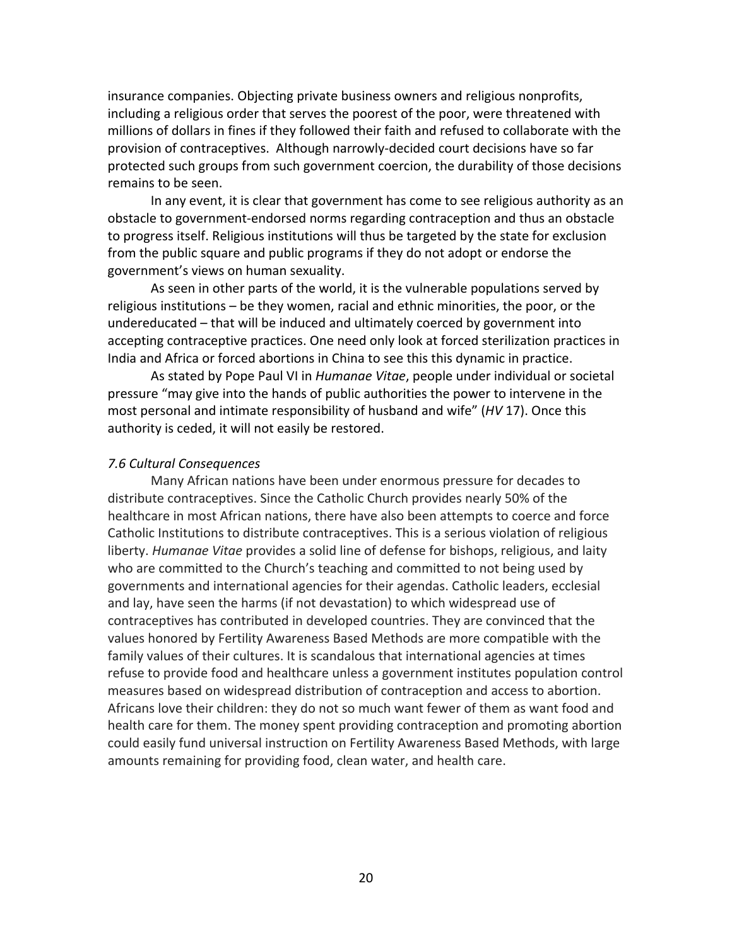insurance companies. Objecting private business owners and religious nonprofits, including a religious order that serves the poorest of the poor, were threatened with millions of dollars in fines if they followed their faith and refused to collaborate with the provision of contraceptives. Although narrowly-decided court decisions have so far protected such groups from such government coercion, the durability of those decisions remains to be seen.

In any event, it is clear that government has come to see religious authority as an obstacle to government-endorsed norms regarding contraception and thus an obstacle to progress itself. Religious institutions will thus be targeted by the state for exclusion from the public square and public programs if they do not adopt or endorse the government's views on human sexuality.

As seen in other parts of the world, it is the vulnerable populations served by religious institutions - be they women, racial and ethnic minorities, the poor, or the undereducated - that will be induced and ultimately coerced by government into accepting contraceptive practices. One need only look at forced sterilization practices in India and Africa or forced abortions in China to see this this dynamic in practice.

As stated by Pope Paul VI in *Humanae Vitae*, people under individual or societal pressure "may give into the hands of public authorities the power to intervene in the most personal and intimate responsibility of husband and wife" (HV 17). Once this authority is ceded, it will not easily be restored.

# *7.6 Cultural Consequences*

 Many African nations have been under enormous pressure for decades to distribute contraceptives. Since the Catholic Church provides nearly 50% of the healthcare in most African nations, there have also been attempts to coerce and force Catholic Institutions to distribute contraceptives. This is a serious violation of religious liberty. *Humanae Vitae* provides a solid line of defense for bishops, religious, and laity who are committed to the Church's teaching and committed to not being used by governments and international agencies for their agendas. Catholic leaders, ecclesial and lay, have seen the harms (if not devastation) to which widespread use of contraceptives has contributed in developed countries. They are convinced that the values honored by Fertility Awareness Based Methods are more compatible with the family values of their cultures. It is scandalous that international agencies at times refuse to provide food and healthcare unless a government institutes population control measures based on widespread distribution of contraception and access to abortion. Africans love their children: they do not so much want fewer of them as want food and health care for them. The money spent providing contraception and promoting abortion could easily fund universal instruction on Fertility Awareness Based Methods, with large amounts remaining for providing food, clean water, and health care.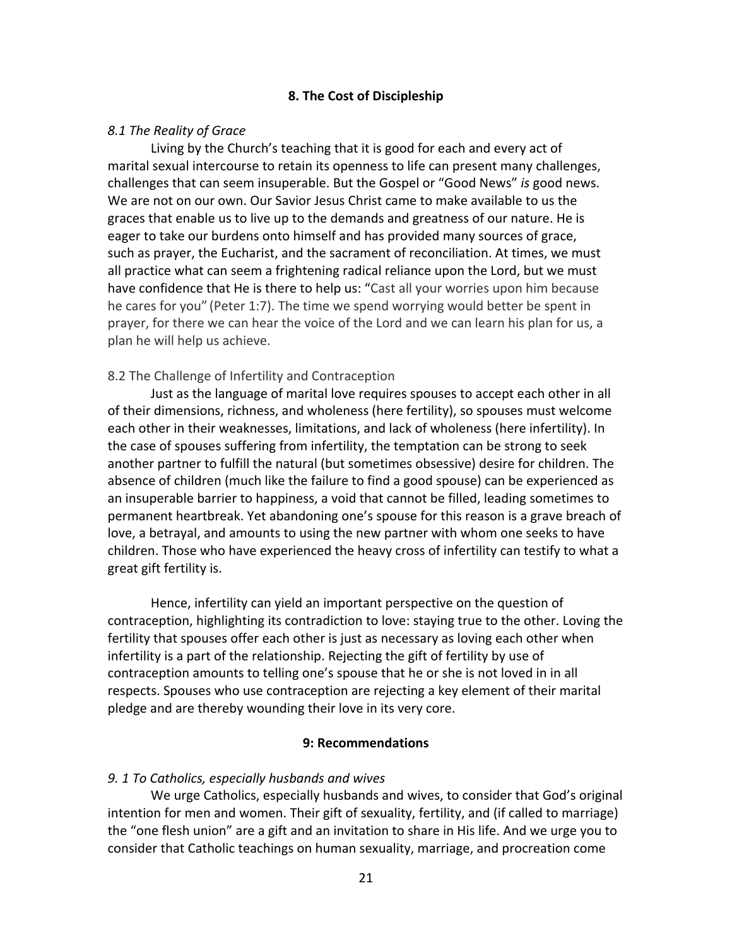# **8. The Cost of Discipleship**

# *8.1 The Reality of Grace*

Living by the Church's teaching that it is good for each and every act of marital sexual intercourse to retain its openness to life can present many challenges, challenges that can seem insuperable. But the Gospel or "Good News" *is* good news. We are not on our own. Our Savior Jesus Christ came to make available to us the graces that enable us to live up to the demands and greatness of our nature. He is eager to take our burdens onto himself and has provided many sources of grace, such as prayer, the Eucharist, and the sacrament of reconciliation. At times, we must all practice what can seem a frightening radical reliance upon the Lord, but we must have confidence that He is there to help us: "Cast all your worries upon him because he cares for you" (Peter 1:7). The time we spend worrying would better be spent in prayer, for there we can hear the voice of the Lord and we can learn his plan for us, a plan he will help us achieve.

# 8.2 The Challenge of Infertility and Contraception

 Just as the language of marital love requires spouses to accept each other in all of their dimensions, richness, and wholeness (here fertility), so spouses must welcome each other in their weaknesses, limitations, and lack of wholeness (here infertility). In the case of spouses suffering from infertility, the temptation can be strong to seek another partner to fulfill the natural (but sometimes obsessive) desire for children. The absence of children (much like the failure to find a good spouse) can be experienced as an insuperable barrier to happiness, a void that cannot be filled, leading sometimes to permanent heartbreak. Yet abandoning one's spouse for this reason is a grave breach of love, a betrayal, and amounts to using the new partner with whom one seeks to have children. Those who have experienced the heavy cross of infertility can testify to what a great gift fertility is.

 Hence, infertility can yield an important perspective on the question of contraception, highlighting its contradiction to love: staying true to the other. Loving the fertility that spouses offer each other is just as necessary as loving each other when infertility is a part of the relationship. Rejecting the gift of fertility by use of contraception amounts to telling one's spouse that he or she is not loved in in all respects. Spouses who use contraception are rejecting a key element of their marital pledge and are thereby wounding their love in its very core.

#### **9: Recommendations**

# *9. 1 To Catholics, especially husbands and wives*

We urge Catholics, especially husbands and wives, to consider that God's original intention for men and women. Their gift of sexuality, fertility, and (if called to marriage) the "one flesh union" are a gift and an invitation to share in His life. And we urge you to consider that Catholic teachings on human sexuality, marriage, and procreation come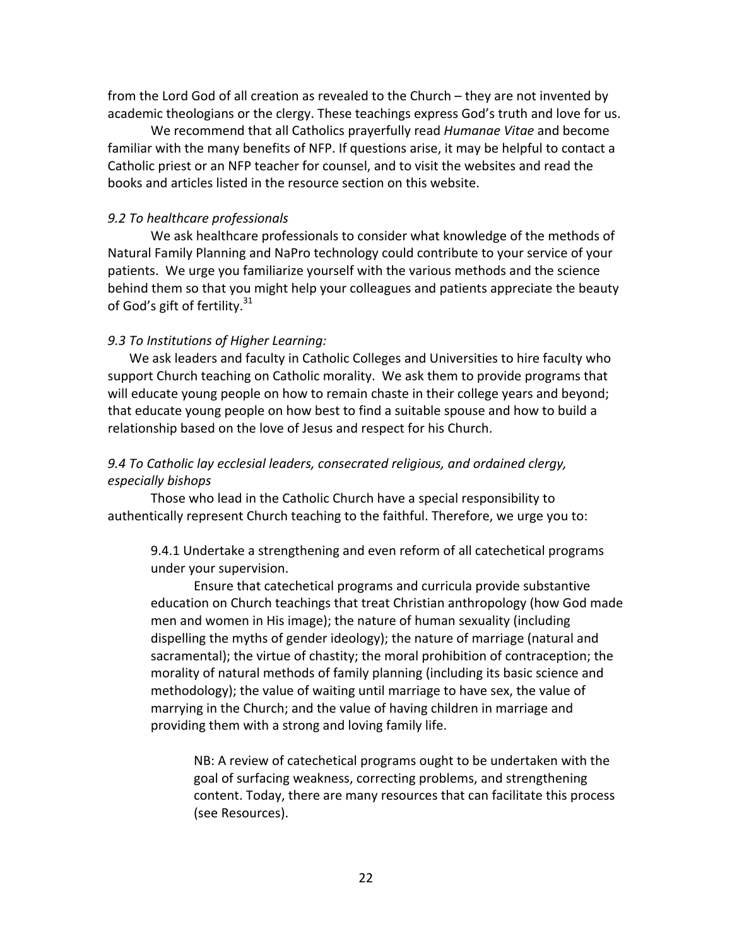from the Lord God of all creation as revealed to the Church – they are not invented by academic theologians or the clergy. These teachings express God's truth and love for us.

We recommend that all Catholics prayerfully read *Humanae Vitae* and become familiar with the many benefits of NFP. If questions arise, it may be helpful to contact a Catholic priest or an NFP teacher for counsel, and to visit the websites and read the books and articles listed in the resource section on this website.

# *9.2 To healthcare professionals*

We ask healthcare professionals to consider what knowledge of the methods of Natural Family Planning and NaPro technology could contribute to your service of your patients. We urge you familiarize yourself with the various methods and the science behind them so that you might help your colleagues and patients appreciate the beauty of God's gift of fertility. $^{31}$ 

# *9.3 To Institutions of Higher Learning:*

 We ask leaders and faculty in Catholic Colleges and Universities to hire faculty who support Church teaching on Catholic morality. We ask them to provide programs that will educate young people on how to remain chaste in their college years and beyond; that educate young people on how best to find a suitable spouse and how to build a relationship based on the love of Jesus and respect for his Church.

# *9.4 To Catholic lay ecclesial leaders, consecrated religious, and ordained clergy, especially bishops*

Those who lead in the Catholic Church have a special responsibility to authentically represent Church teaching to the faithful. Therefore, we urge you to:

9.4.1 Undertake a strengthening and even reform of all catechetical programs under your supervision.

Ensure that catechetical programs and curricula provide substantive education on Church teachings that treat Christian anthropology (how God made men and women in His image); the nature of human sexuality (including dispelling the myths of gender ideology); the nature of marriage (natural and sacramental); the virtue of chastity; the moral prohibition of contraception; the morality of natural methods of family planning (including its basic science and methodology); the value of waiting until marriage to have sex, the value of marrying in the Church; and the value of having children in marriage and providing them with a strong and loving family life.

NB: A review of catechetical programs ought to be undertaken with the goal of surfacing weakness, correcting problems, and strengthening content. Today, there are many resources that can facilitate this process (see Resources).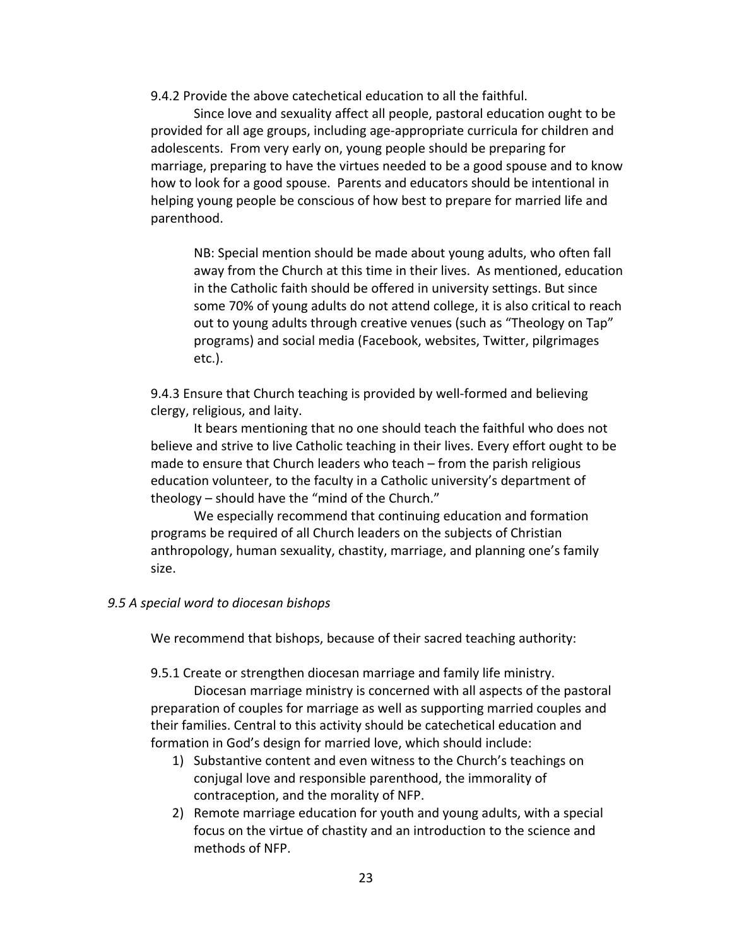9.4.2 Provide the above catechetical education to all the faithful.

Since love and sexuality affect all people, pastoral education ought to be provided for all age groups, including age-appropriate curricula for children and adolescents. From very early on, young people should be preparing for marriage, preparing to have the virtues needed to be a good spouse and to know how to look for a good spouse. Parents and educators should be intentional in helping young people be conscious of how best to prepare for married life and parenthood.

NB: Special mention should be made about young adults, who often fall away from the Church at this time in their lives. As mentioned, education in the Catholic faith should be offered in university settings. But since some 70% of young adults do not attend college, it is also critical to reach out to young adults through creative venues (such as "Theology on Tap" programs) and social media (Facebook, websites, Twitter, pilgrimages etc.).

9.4.3 Ensure that Church teaching is provided by well-formed and believing clergy, religious, and laity.

It bears mentioning that no one should teach the faithful who does not believe and strive to live Catholic teaching in their lives. Every effort ought to be made to ensure that Church leaders who teach – from the parish religious education volunteer, to the faculty in a Catholic university's department of theology – should have the "mind of the Church."

We especially recommend that continuing education and formation programs be required of all Church leaders on the subjects of Christian anthropology, human sexuality, chastity, marriage, and planning one's family size.

# *9.5 A special word to diocesan bishops*

We recommend that bishops, because of their sacred teaching authority:

9.5.1 Create or strengthen diocesan marriage and family life ministry.

 Diocesan marriage ministry is concerned with all aspects of the pastoral preparation of couples for marriage as well as supporting married couples and their families. Central to this activity should be catechetical education and formation in God's design for married love, which should include:

- 1) Substantive content and even witness to the Church's teachings on conjugal love and responsible parenthood, the immorality of contraception, and the morality of NFP.
- 2) Remote marriage education for youth and young adults, with a special focus on the virtue of chastity and an introduction to the science and methods of NFP.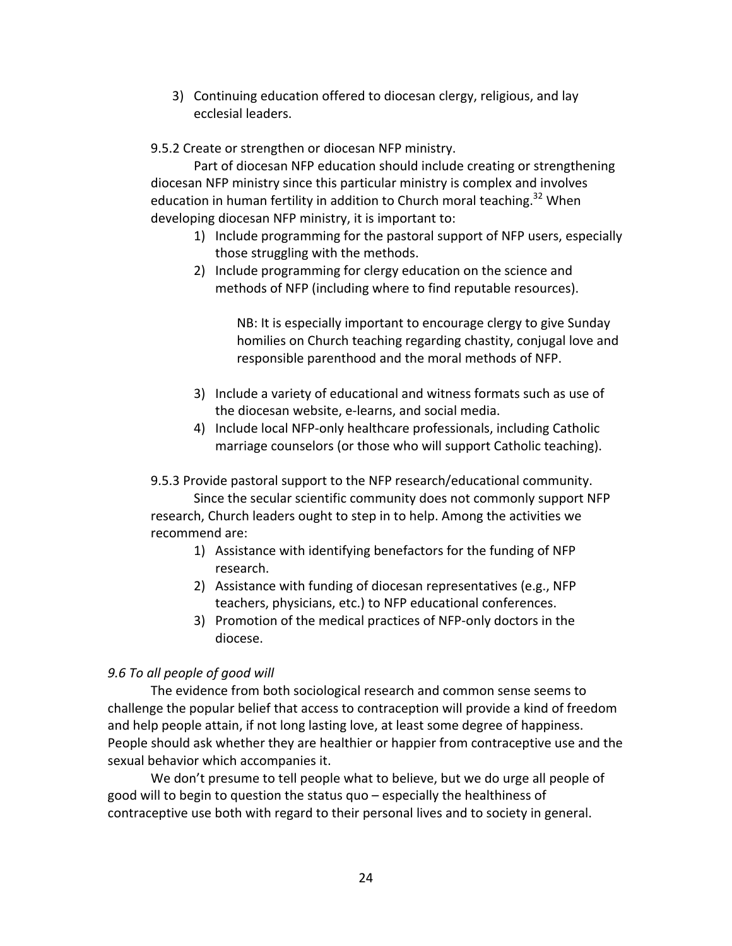3) Continuing education offered to diocesan clergy, religious, and lay ecclesial leaders.

9.5.2 Create or strengthen or diocesan NFP ministry.

Part of diocesan NFP education should include creating or strengthening diocesan NFP ministry since this particular ministry is complex and involves education in human fertility in addition to Church moral teaching.<sup>32</sup> When developing diocesan NFP ministry, it is important to:

- 1) Include programming for the pastoral support of NFP users, especially those struggling with the methods.
- 2) Include programming for clergy education on the science and methods of NFP (including where to find reputable resources).

NB: It is especially important to encourage clergy to give Sunday homilies on Church teaching regarding chastity, conjugal love and responsible parenthood and the moral methods of NFP.

- 3) Include a variety of educational and witness formats such as use of the diocesan website, e-learns, and social media.
- 4) Include local NFP-only healthcare professionals, including Catholic marriage counselors (or those who will support Catholic teaching).

9.5.3 Provide pastoral support to the NFP research/educational community. Since the secular scientific community does not commonly support NFP research, Church leaders ought to step in to help. Among the activities we recommend are:

- 1) Assistance with identifying benefactors for the funding of NFP research.
- 2) Assistance with funding of diocesan representatives (e.g., NFP teachers, physicians, etc.) to NFP educational conferences.
- 3) Promotion of the medical practices of NFP-only doctors in the diocese.

# *9.6 To all people of good will*

 The evidence from both sociological research and common sense seems to challenge the popular belief that access to contraception will provide a kind of freedom and help people attain, if not long lasting love, at least some degree of happiness. People should ask whether they are healthier or happier from contraceptive use and the sexual behavior which accompanies it.

We don't presume to tell people what to believe, but we do urge all people of good will to begin to question the status quo – especially the healthiness of contraceptive use both with regard to their personal lives and to society in general.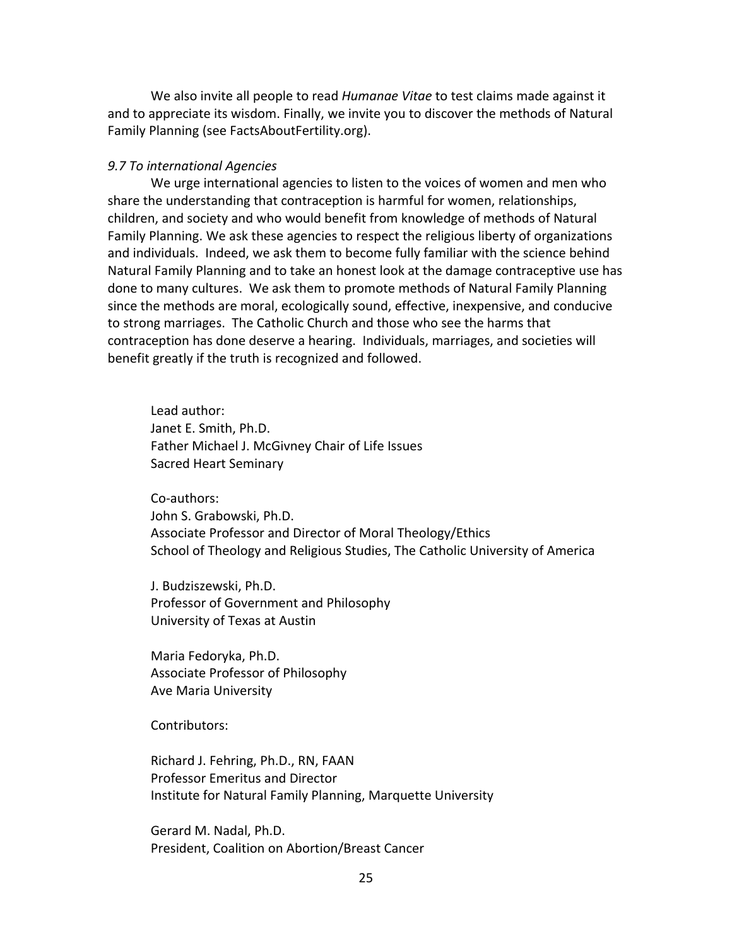We also invite all people to read *Humanae Vitae* to test claims made against it and to appreciate its wisdom. Finally, we invite you to discover the methods of Natural Family Planning (see [FactsAboutFertility.org\)](https://FactsAboutFertility.org).

# *9.7 To international Agencies*

 We urge international agencies to listen to the voices of women and men who share the understanding that contraception is harmful for women, relationships, children, and society and who would benefit from knowledge of methods of Natural Family Planning. We ask these agencies to respect the religious liberty of organizations and individuals. Indeed, we ask them to become fully familiar with the science behind Natural Family Planning and to take an honest look at the damage contraceptive use has done to many cultures. We ask them to promote methods of Natural Family Planning since the methods are moral, ecologically sound, effective, inexpensive, and conducive to strong marriages. The Catholic Church and those who see the harms that contraception has done deserve a hearing. Individuals, marriages, and societies will benefit greatly if the truth is recognized and followed.

 Lead author: Janet E. Smith, Ph.D. Father Michael J. McGivney Chair of Life Issues Sacred Heart Seminary

John S. Grabowski, Ph.D. Associate Professor and Director of Moral Theology/Ethics School of Theology and Religious Studies, The Catholic University of America Co-authors:

 J. Budziszewski, Ph.D. Professor of Government and Philosophy University of Texas at Austin

 Maria Fedoryka, Ph.D. Associate Professor of Philosophy Ave Maria University

Contributors:

 Richard J. Fehring, Ph.D., RN, FAAN Professor Emeritus and Director Institute for Natural Family Planning, Marquette University

 Gerard M. Nadal, Ph.D. President, Coalition on Abortion/Breast Cancer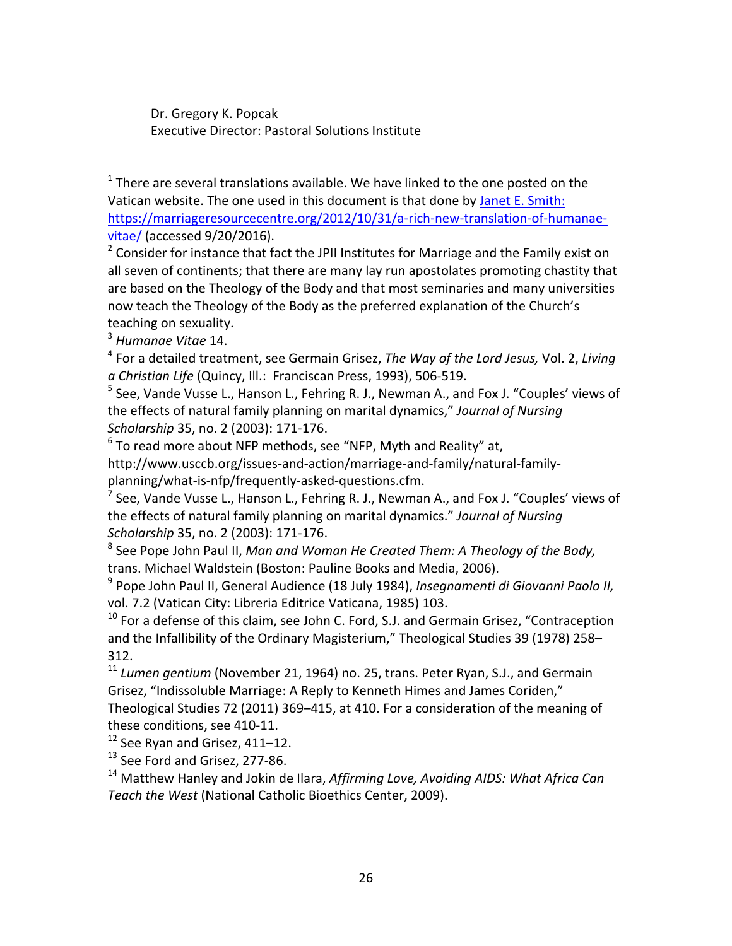Dr. Gregory K. Popcak Executive Director: Pastoral Solutions Institute

 $1$  There are several translations available. We have linked to the one posted on the Vatican website. The one used in this document is that done by Janet E. Smith: vitae/ (accessed 9/20/2016). <https://marriageresourcecentre.org/2012/10/31/a-rich-new-translation-of-humanae>-

 $2$  Consider for instance that fact the JPII Institutes for Marriage and the Family exist on all seven of continents; that there are many lay run apostolates promoting chastity that are based on the Theology of the Body and that most seminaries and many universities now teach the Theology of the Body as the preferred explanation of the Church's teaching on sexuality.

 <sup>3</sup> *Humanae Vitae* 14.

<sup>4</sup> For a detailed treatment, see Germain Grisez, *The Way of the Lord Jesus, Vol.* 2, *Living* a Christian Life (Quincy, Ill.: Franciscan Press, 1993), 506-519.

<sup>5</sup> See, Vande Vusse L., Hanson L., Fehring R. J., Newman A., and Fox J. "Couples' views of the effects of natural family planning on marital dynamics," Journal of Nursing *Scholarship* 35, no. 2 (2003): 171-176.

 $^6$  To read more about NFP methods, see "NFP, Myth and Reality" at,

 planning/what-is-nfp/frequently-asked-questions.cfm. [http://www.usccb.org/issues-and-action/marriage-and-family/natural-family-](http://www.usccb.org/issues-and-action/marriage-and-family/natural-family)

<sup>7</sup> See, Vande Vusse L., Hanson L., Fehring R. J., Newman A., and Fox J. "Couples' views of the effects of natural family planning on marital dynamics." Journal of Nursing *Scholarship* 35, no. 2 (2003): 171-176.

  <sup>8</sup> See Pope John Paul II, *Man and Woman He Created Them: A Theology of the Body,* trans. Michael Waldstein (Boston: Pauline Books and Media, 2006).

  <sup>9</sup> Pope John Paul II, General Audience (18 July 1984), *Insegnamenti di Giovanni Paolo II,* vol. 7.2 (Vatican City: Libreria Editrice Vaticana, 1985) 103.

 $^{10}$  For a defense of this claim, see John C. Ford, S.J. and Germain Grisez, "Contraception and the Infallibility of the Ordinary Magisterium," Theological Studies 39 (1978) 258– 312.

<sup>11</sup> Lumen gentium (November 21, 1964) no. 25, trans. Peter Ryan, S.J., and Germain Grisez, "Indissoluble Marriage: A Reply to Kenneth Himes and James Coriden," Theological Studies 72 (2011) 369-415, at 410. For a consideration of the meaning of these conditions, see 410-11.

 $12$  See Ryan and Grisez, 411–12.

<sup>13</sup> See Ford and Grisez, 277-86.

<sup>14</sup> Matthew Hanley and Jokin de Ilara, *Affirming Love, Avoiding AIDS: What Africa Can* Teach the West (National Catholic Bioethics Center, 2009).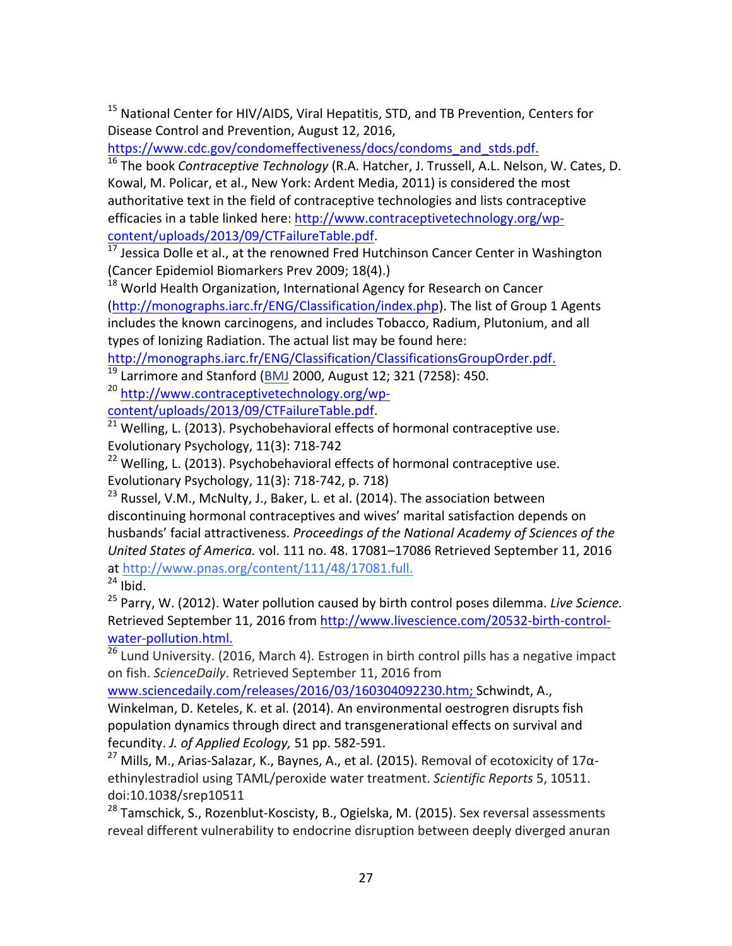<sup>15</sup> National Center for HIV/AIDS, Viral Hepatitis, STD, and TB Prevention, Centers for Disease Control and Prevention, August 12, 2016,

[https://www.cdc.gov/condomeffectiveness/docs/condoms\\_and\\_stds.pdf.](https://www.cdc.gov/condomeffectiveness/docs/condoms_and_stds.pdf)

 <sup>16</sup> The book *Contraceptive Technology* (R.A. Hatcher, J. Trussell, A.L. Nelson, W. Cates, D. Kowal, M. Policar, et al., New York: Ardent Media, 2011) is considered the most authoritative text in the field of contraceptive technologies and lists contraceptive efficacies in a table linked here: <http://www.contraceptivetechnology.org/wp>content/uploads/2013/09/CTFailureTable.pdf.

 $17$  Jessica Dolle et al., at the renowned Fred Hutchinson Cancer Center in Washington (Cancer Epidemiol Biomarkers Prev 2009; 18(4).)

 $^{18}$  World Health Organization, International Agency for Research on Cancer (<http://monographs.iarc.fr/ENG/Classification/index.php>). The list of Group 1 Agents includes the known carcinogens, and includes Tobacco, Radium, Plutonium, and all types of Ionizing Radiation. The actual list may be found here:

<http://monographs.iarc.fr/ENG/Classification/ClassificationsGroupOrder.pdf>.

 $^{19}$  Larrimore and Stanford ( $\underline{\mathsf{BMJ}}$  2000, August 12; 321 (7258): 450.

<sup>20</sup> [http://www.contraceptivetechnology.org/wp-](http://www.contraceptivetechnology.org/wp)

content/uploads/2013/09/CTFailureTable.pdf.

 $^{21}$  Welling, L. (2013). Psychobehavioral effects of hormonal contraceptive use. Evolutionary Psychology, 11(3): 718-742

 $22$  Welling, L. (2013). Psychobehavioral effects of hormonal contraceptive use. Evolutionary Psychology, 11(3): 718-742, p. 718)

 $^{23}$  Russel, V.M., McNulty, J., Baker, L. et al. (2014). The association between discontinuing hormonal contraceptives and wives' marital satisfaction depends on  husbands' facial attractiveness. *Proceedings of the National Academy of Sciences of the United States of America.* vol. 111 no. 48. 17081–17086 Retrieved September 11, 2016  $24$  Ibid. at [http://www.pnas.org/content/111/48/17081.full.](http://www.pnas.org/content/111/48/17081.full)

  <sup>25</sup> Parry, W. (2012). Water pollution caused by birth control poses dilemma. *Live Science.* Retrieved September 11, 2016 from <http://www.livescience.com/20532-birth-control>water-pollution.html.

<sup>26</sup> Lund University. (2016, March 4). Estrogen in birth control pills has a negative impact on fish. *ScienceDaily*. Retrieved September 11, 2016 from

www.sciencedaily.com/releases/2016/03/160304092230.htm; Schwindt, A.,

 Winkelman, D. Keteles, K. et al. (2014). An environmental oestrogren disrupts fish population dynamics through direct and transgenerational effects on survival and  fecundity. *J. of Applied Ecology,* 51 pp. 582-591.

<sup>27</sup> Mills, M., Arias-Salazar, K., Baynes, A., et al. (2015). Removal of ecotoxicity of 17α- ethinylestradiol using TAML/peroxide water treatment. *Scientific Reports* 5, 10511. doi:10.1038/srep10511

 $^{28}$  Tamschick, S., Rozenblut-Koscisty, B., Ogielska, M. (2015). Sex reversal assessments reveal different vulnerability to endocrine disruption between deeply diverged anuran